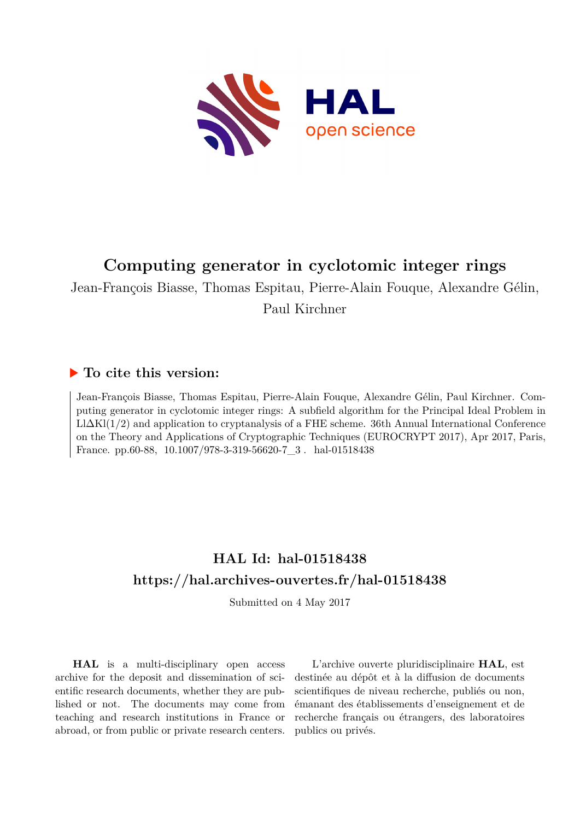

# **Computing generator in cyclotomic integer rings**

Jean-François Biasse, Thomas Espitau, Pierre-Alain Fouque, Alexandre Gélin, Paul Kirchner

## **To cite this version:**

Jean-François Biasse, Thomas Espitau, Pierre-Alain Fouque, Alexandre Gélin, Paul Kirchner. Computing generator in cyclotomic integer rings: A subfield algorithm for the Principal Ideal Problem in Ll∆Kl(1/2) and application to cryptanalysis of a FHE scheme. 36th Annual International Conference on the Theory and Applications of Cryptographic Techniques (EUROCRYPT 2017), Apr 2017, Paris, France. pp.60-88, 10.1007/978-3-319-56620-7\_3. hal-01518438

## **HAL Id: hal-01518438 <https://hal.archives-ouvertes.fr/hal-01518438>**

Submitted on 4 May 2017

**HAL** is a multi-disciplinary open access archive for the deposit and dissemination of scientific research documents, whether they are published or not. The documents may come from teaching and research institutions in France or abroad, or from public or private research centers.

L'archive ouverte pluridisciplinaire **HAL**, est destinée au dépôt et à la diffusion de documents scientifiques de niveau recherche, publiés ou non, émanant des établissements d'enseignement et de recherche français ou étrangers, des laboratoires publics ou privés.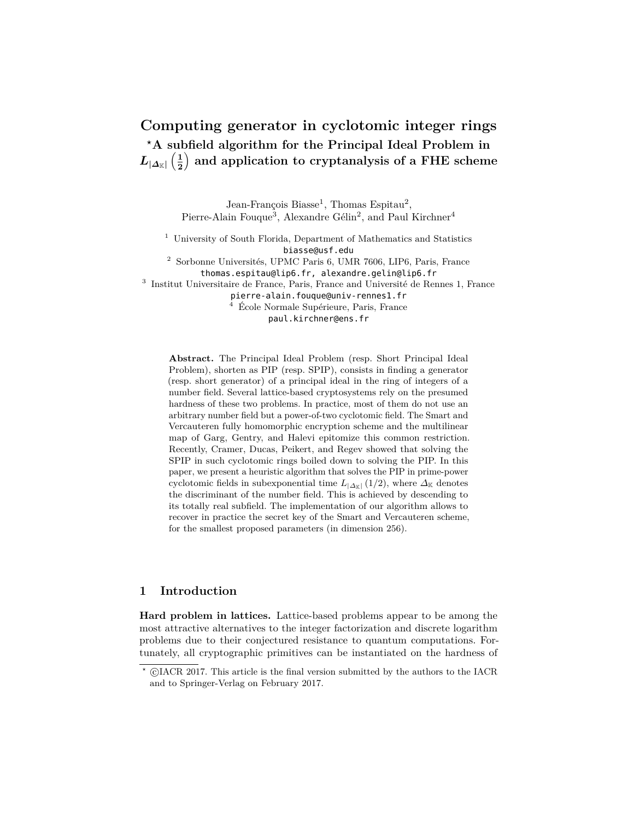#### **Computing generator in cyclotomic integer rings** *?***A subfield algorithm for the Principal Ideal Problem in**  $L_{|\mathbf{\Delta}_{\mathbb{K}}|}\left(\frac{1}{2}\right)$ **2 and application to cryptanalysis of a FHE scheme**

Jean-François Biasse<sup>1</sup>, Thomas Espitau<sup>2</sup>, Pierre-Alain Fouque<sup>3</sup>, Alexandre Gélin<sup>2</sup>, and Paul Kirchner<sup>4</sup>

<sup>1</sup> University of South Florida, Department of Mathematics and Statistics biasse@usf.edu

<sup>2</sup> Sorbonne Universités, UPMC Paris 6, UMR 7606, LIP6, Paris, France thomas.espitau@lip6.fr, alexandre.gelin@lip6.fr

3 Institut Universitaire de France, Paris, France and Université de Rennes 1, France

pierre-alain.fouque@univ-rennes1.fr

<sup>4</sup> École Normale Supérieure, Paris, France paul.kirchner@ens.fr

**Abstract.** The Principal Ideal Problem (resp. Short Principal Ideal Problem), shorten as PIP (resp. SPIP), consists in finding a generator (resp. short generator) of a principal ideal in the ring of integers of a number field. Several lattice-based cryptosystems rely on the presumed hardness of these two problems. In practice, most of them do not use an arbitrary number field but a power-of-two cyclotomic field. The Smart and Vercauteren fully homomorphic encryption scheme and the multilinear map of Garg, Gentry, and Halevi epitomize this common restriction. Recently, Cramer, Ducas, Peikert, and Regev showed that solving the SPIP in such cyclotomic rings boiled down to solving the PIP. In this paper, we present a heuristic algorithm that solves the PIP in prime-power cyclotomic fields in subexponential time  $L_{|\Delta_K|}(1/2)$ , where  $\Delta_K$  denotes the discriminant of the number field. This is achieved by descending to its totally real subfield. The implementation of our algorithm allows to recover in practice the secret key of the Smart and Vercauteren scheme, for the smallest proposed parameters (in dimension 256).

## **1 Introduction**

**Hard problem in lattices.** Lattice-based problems appear to be among the most attractive alternatives to the integer factorization and discrete logarithm problems due to their conjectured resistance to quantum computations. Fortunately, all cryptographic primitives can be instantiated on the hardness of

 $*$   $\odot$ IACR 2017. This article is the final version submitted by the authors to the IACR and to Springer-Verlag on February 2017.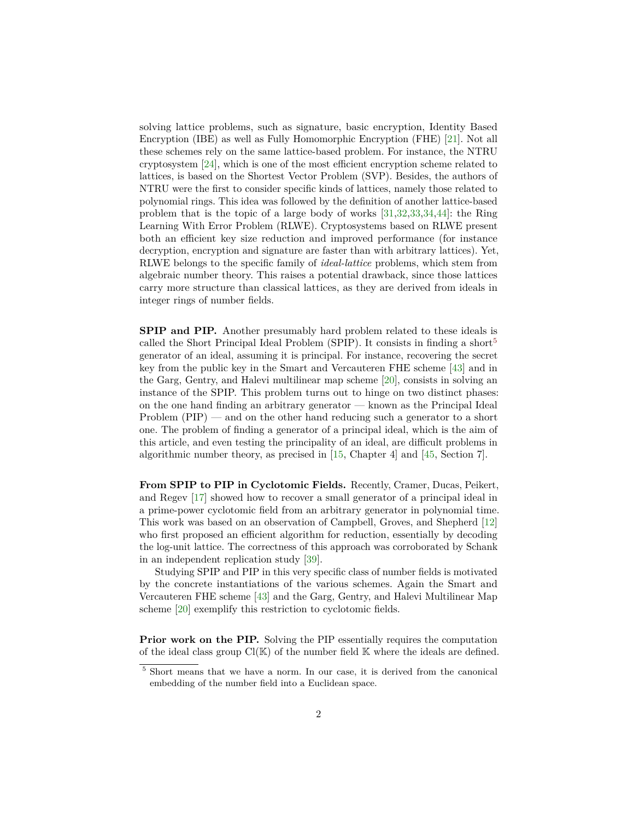solving lattice problems, such as signature, basic encryption, Identity Based Encryption (IBE) as well as Fully Homomorphic Encryption (FHE) [21]. Not all these schemes rely on the same lattice-based problem. For instance, the NTRU cryptosystem [24], which is one of the most efficient encryption scheme related to lattices, is based on the Shortest Vector Problem (SVP). Besides, the authors of NTRU were the first to consider specific kinds of lattices, namely those related to polynomial rings. This idea was followed by the definition of another lattice-based problem that is the topic of a large body of works [31,32,33,34,44]: the Ring Learning With Error Problem (RLWE). Cryptosystems based on RLWE present both an efficient key size reduction and improved performance (for instance decryption, encryption and signature are faster than with arbitrary lattices). Yet, RLWE belongs to the specific family of *ideal-lattice* problems, which stem from algebraic number theory. This raises a potential drawback, since those lattices carry more structure than classical lattices, as they are derived from ideals in integer rings of number fields.

**SPIP and PIP.** Another presumably hard problem related to these ideals is called the Short Principal Ideal Problem (SPIP). It consists in finding a short<sup>5</sup> generator of an ideal, assuming it is principal. For instance, recovering the secret key from the public key in the Smart and Vercauteren FHE scheme [43] and in the Garg, Gentry, and Halevi multilinear map scheme [20], consists in solving an instance of the SPIP. This problem turns out to hinge on two distinct phases: on the one hand finding an arbitrary generator — known as the Principal Ideal Problem  $(PIP)$  — and on the other hand reducing such a generator to a short one. The problem of finding a generator of a principal ideal, which is the aim of this article, and even testing the principality of an ideal, are difficult problems in algorithmic number theory, as precised in [15, Chapter 4] and [45, Section 7].

**From SPIP to PIP in Cyclotomic Fields.** Recently, Cramer, Ducas, Peikert, and Regev [17] showed how to recover a small generator of a principal ideal in a prime-power cyclotomic field from an arbitrary generator in polynomial time. This work was based on an observation of Campbell, Groves, and Shepherd [12] who first proposed an efficient algorithm for reduction, essentially by decoding the log-unit lattice. The correctness of this approach was corroborated by Schank in an independent replication study [39].

Studying SPIP and PIP in this very specific class of number fields is motivated by the concrete instantiations of the various schemes. Again the Smart and Vercauteren FHE scheme [43] and the Garg, Gentry, and Halevi Multilinear Map scheme [20] exemplify this restriction to cyclotomic fields.

**Prior work on the PIP.** Solving the PIP essentially requires the computation of the ideal class group  $Cl(K)$  of the number field  $K$  where the ideals are defined.

<sup>5</sup> Short means that we have a norm. In our case, it is derived from the canonical embedding of the number field into a Euclidean space.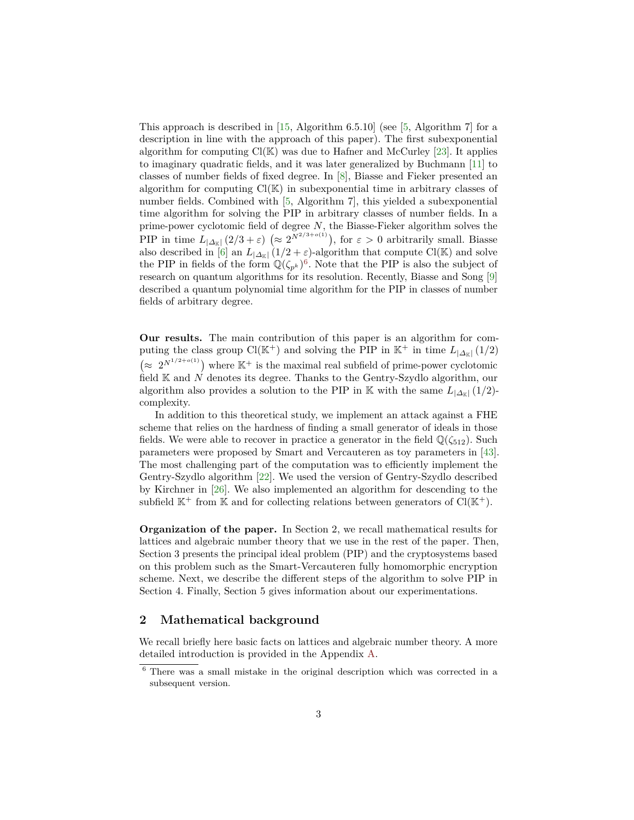This approach is described in [15, Algorithm 6.5.10] (see [5, Algorithm 7] for a description in line with the approach of this paper). The first subexponential algorithm for computing  $Cl(K)$  was due to Hafner and McCurley [23]. It applies to imaginary quadratic fields, and it was later generalized by Buchmann [11] to classes of number fields of fixed degree. In [8], Biasse and Fieker presented an algorithm for computing  $Cl(K)$  in subexponential time in arbitrary classes of number fields. Combined with [5, Algorithm 7], this yielded a subexponential time algorithm for solving the PIP in arbitrary classes of number fields. In a prime-power cyclotomic field of degree *N*, the Biasse-Fieker algorithm solves the PIP in time  $L_{|\Delta_K|}(2/3 + \varepsilon)$  ( $\approx 2^{N^{2/3 + o(1)}}$ ), for  $\varepsilon > 0$  arbitrarily small. Biasse also described in [6] an  $L_{|\Delta_{\mathbb{K}}|}(1/2+\varepsilon)$ -algorithm that compute Cl(K) and solve the PIP in fields of the form  $\mathbb{Q}(\zeta_{p^k})^6$ . Note that the PIP is also the subject of research on quantum algorithms for its resolution. Recently, Biasse and Song [9] described a quantum polynomial time algorithm for the PIP in classes of number fields of arbitrary degree.

**Our results.** The main contribution of this paper is an algorithm for computing the class group Cl(K<sup>+</sup>) and solving the PIP in K<sup>+</sup> in time  $L_{|\Delta_K|}(1/2)$  $(\approx 2^{N^{1/2+o(1)}})$  where K<sup>+</sup> is the maximal real subfield of prime-power cyclotomic field  $\mathbb K$  and  $\mathbb N$  denotes its degree. Thanks to the Gentry-Szydlo algorithm, our algorithm also provides a solution to the PIP in K with the same  $L_{|\Delta_{\kappa}|}(1/2)$ complexity.

In addition to this theoretical study, we implement an attack against a FHE scheme that relies on the hardness of finding a small generator of ideals in those fields. We were able to recover in practice a generator in the field  $\mathbb{Q}(\zeta_{512})$ . Such parameters were proposed by Smart and Vercauteren as toy parameters in [43]. The most challenging part of the computation was to efficiently implement the Gentry-Szydlo algorithm [22]. We used the version of Gentry-Szydlo described by Kirchner in [26]. We also implemented an algorithm for descending to the subfield  $\mathbb{K}^+$  from  $\mathbb K$  and for collecting relations between generators of Cl( $\mathbb K^+$ ).

**Organization of the paper.** In Section 2, we recall mathematical results for lattices and algebraic number theory that we use in the rest of the paper. Then, Section 3 presents the principal ideal problem (PIP) and the cryptosystems based on this problem such as the Smart-Vercauteren fully homomorphic encryption scheme. Next, we describe the different steps of the algorithm to solve PIP in Section 4. Finally, Section 5 gives information about our experimentations.

## **2 Mathematical background**

We recall briefly here basic facts on lattices and algebraic number theory. A more detailed introduction is provided in the Appendix A.

 $6$  There was a small mistake in the original description which was corrected in a subsequent version.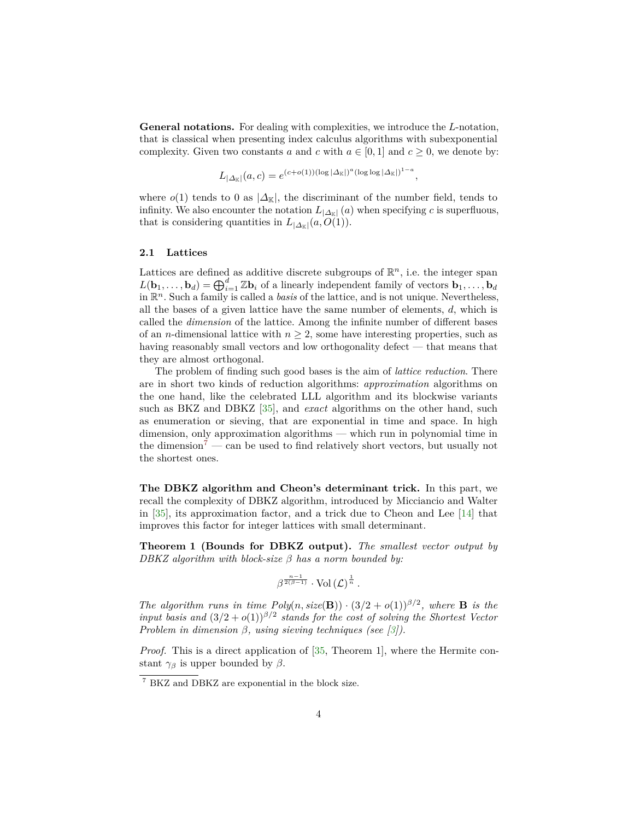**General notations.** For dealing with complexities, we introduce the *L*-notation, that is classical when presenting index calculus algorithms with subexponential complexity. Given two constants *a* and *c* with  $a \in [0,1]$  and  $c \geq 0$ , we denote by:

$$
L_{|\Delta_{\mathbb{K}}|}(a,c) = e^{(c+o(1))(\log |\Delta_{\mathbb{K}}|)^a(\log \log |\Delta_{\mathbb{K}}|)^{1-a}},
$$

where  $o(1)$  tends to 0 as  $|\Delta_{\mathbb{K}}|$ , the discriminant of the number field, tends to infinity. We also encounter the notation  $L_{|\Delta_K|}(a)$  when specifying *c* is superfluous, that is considering quantities in  $L_{|\Delta_{\mathbb{K}}|}(a, O(1)).$ 

#### **2.1 Lattices**

Lattices are defined as additive discrete subgroups of  $\mathbb{R}^n$ , i.e. the integer span  $L(\mathbf{b}_1, \ldots, \mathbf{b}_d) = \bigoplus_{i=1}^d \mathbb{Z} \mathbf{b}_i$  of a linearly independent family of vectors  $\mathbf{b}_1, \ldots, \mathbf{b}_d$ in  $\mathbb{R}^n$ . Such a family is called a *basis* of the lattice, and is not unique. Nevertheless, all the bases of a given lattice have the same number of elements, *d*, which is called the *dimension* of the lattice. Among the infinite number of different bases of an *n*-dimensional lattice with  $n \geq 2$ , some have interesting properties, such as having reasonably small vectors and low orthogonality defect — that means that they are almost orthogonal.

The problem of finding such good bases is the aim of *lattice reduction*. There are in short two kinds of reduction algorithms: *approximation* algorithms on the one hand, like the celebrated LLL algorithm and its blockwise variants such as BKZ and DBKZ [35], and *exact* algorithms on the other hand, such as enumeration or sieving, that are exponential in time and space. In high dimension, only approximation algorithms — which run in polynomial time in the dimension<sup>7</sup> — can be used to find relatively short vectors, but usually not the shortest ones.

**The DBKZ algorithm and Cheon's determinant trick.** In this part, we recall the complexity of DBKZ algorithm, introduced by Micciancio and Walter in [35], its approximation factor, and a trick due to Cheon and Lee [14] that improves this factor for integer lattices with small determinant.

**Theorem 1 (Bounds for DBKZ output).** *The smallest vector output by DBKZ algorithm with block-size β has a norm bounded by:*

$$
\beta^{\frac{n-1}{2(\beta-1)}} \cdot \mathrm{Vol}\left(\mathcal{L}\right)^{\frac{1}{n}}.
$$

*The algorithm runs in time*  $Poly(n, size(B)) \cdot (3/2 + o(1))^{3/2}$ *, where* **B** *is the input basis and*  $(3/2 + o(1))^{3/2}$  *stands for the cost of solving the Shortest Vector Problem in dimension β, using sieving techniques (see [3]).*

*Proof.* This is a direct application of [35, Theorem 1], where the Hermite constant  $\gamma_{\beta}$  is upper bounded by  $\beta$ .

<sup>7</sup> BKZ and DBKZ are exponential in the block size.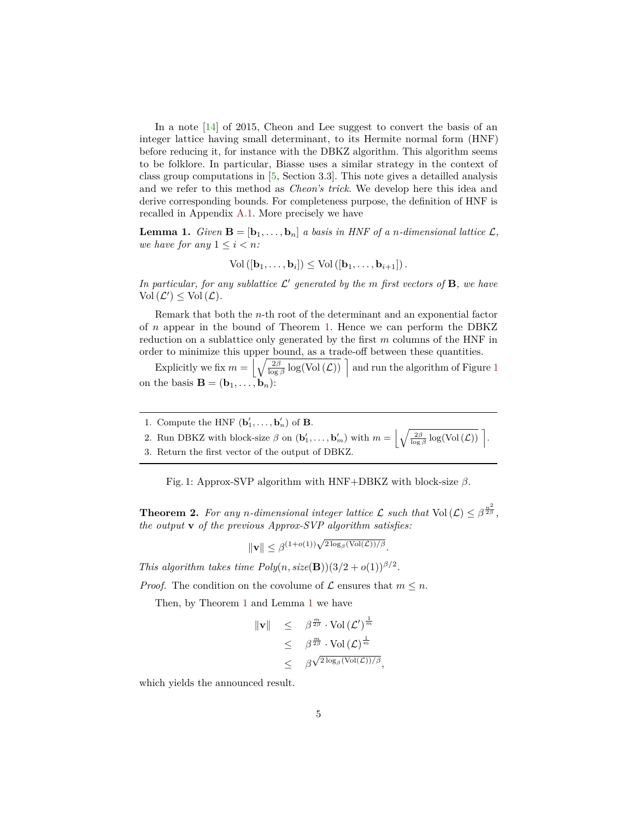In a note [14] of 2015, Cheon and Lee suggest to convert the basis of an integer lattice having small determinant, to its Hermite normal form (HNF) before reducing it, for instance with the DBKZ algorithm. This algorithm seems to be folklore. In particular, Biasse uses a similar strategy in the context of class group computations in [5, Section 3.3]. This note gives a detailled analysis and we refer to this method as *Cheon's trick*. We develop here this idea and derive corresponding bounds. For completeness purpose, the definition of HNF is recalled in Appendix A.1. More precisely we have

**Lemma 1.** *Given*  $\mathbf{B} = [\mathbf{b}_1, \ldots, \mathbf{b}_n]$  *a basis in HNF of a n-dimensional lattice*  $\mathcal{L}$ *, we have for any*  $1 \leq i \leq n$ *:* 

$$
\text{Vol}\left(\left[\mathbf{b}_1,\ldots,\mathbf{b}_i\right]\right) \leq \text{Vol}\left(\left[\mathbf{b}_1,\ldots,\mathbf{b}_{i+1}\right]\right).
$$

In particular, for any sublattice  $\mathcal{L}'$  generated by the m first vectors of **B**, we have  $Vol(\mathcal{L}') \leq Vol(\mathcal{L})$ .

Remark that both the *n*-th root of the determinant and an exponential factor of *n* appear in the bound of Theorem 1. Hence we can perform the DBKZ reduction on a sublattice only generated by the first *m* columns of the HNF in order to minimize this upper bound, as a trade-off between these quantities.

Explicitly we fix  $m = \left(\sqrt{\frac{2\beta}{\log \beta} \log(\text{Vol}(\mathcal{L}))}\right)$  and run the algorithm of Figure 1 on the basis  $\mathbf{B} = (\mathbf{b}_1, \dots, \mathbf{b}_n)$ :

- 1. Compute the HNF  $(\mathbf{b}'_1, \ldots, \mathbf{b}'_n)$  of **B**.
- 2. Run DBKZ with block-size  $\beta$  on  $(\mathbf{b}'_1, \dots, \mathbf{b}'_m)$  with  $m = \left| \sqrt{\frac{2\beta}{\log \beta} \log(\text{Vol}(\mathcal{L}))} \right|$ .
- 3. Return the first vector of the output of DBKZ.

Fig. 1: Approx-SVP algorithm with HNF+DBKZ with block-size *β*.

**Theorem 2.** For any *n*-dimensional integer lattice  $\mathcal{L}$  such that  $Vol(\mathcal{L}) \leq \beta^{\frac{n^2}{2\beta}}$ , *the output* **v** *of the previous Approx-SVP algorithm satisfies:*

$$
\|\mathbf{v}\| \leq \beta^{(1+o(1))\sqrt{2\log_\beta(\text{Vol}(\mathcal{L}))/\beta}}.
$$

*This algorithm takes time*  $Poly(n, size(B))(3/2 + o(1))$ *<sup>* $\beta/2$ *</sup>.* 

*Proof.* The condition on the covolume of  $\mathcal L$  ensures that  $m \leq n$ .

Then, by Theorem 1 and Lemma 1 we have

$$
\begin{array}{rcl}\n\|\mathbf{v}\| & \leq & \beta^{\frac{m}{2\beta}} \cdot \text{Vol} \left(\mathcal{L}'\right)^{\frac{1}{m}} \\
& \leq & \beta^{\frac{m}{2\beta}} \cdot \text{Vol} \left(\mathcal{L}\right)^{\frac{1}{m}} \\
& \leq & \beta^{\sqrt{2 \log_{\beta}(\text{Vol}(\mathcal{L}))/\beta}}.\n\end{array}
$$

which yields the announced result.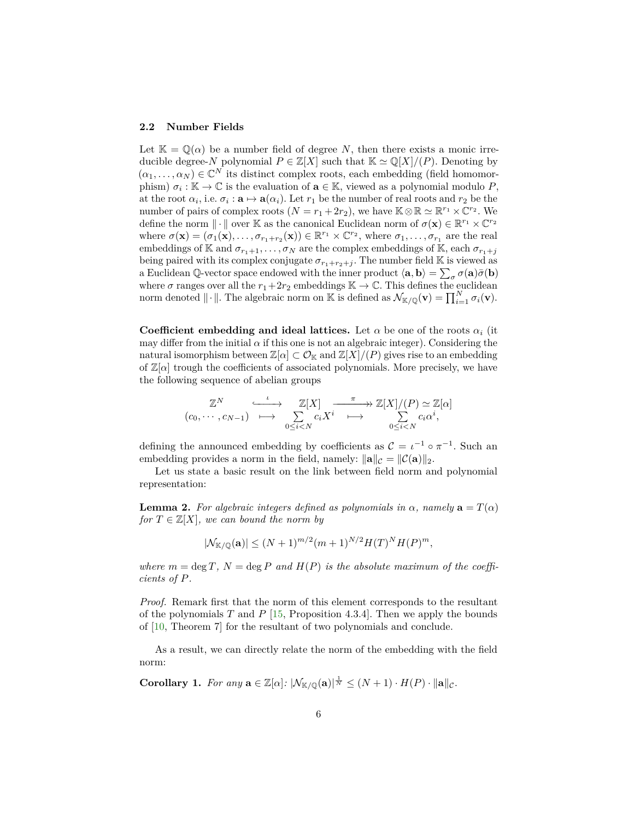#### **2.2 Number Fields**

Let  $\mathbb{K} = \mathbb{Q}(\alpha)$  be a number field of degree N, then there exists a monic irreducible degree-*N* polynomial  $P \in \mathbb{Z}[X]$  such that  $\mathbb{K} \simeq \mathbb{Q}[X]/(P)$ . Denoting by  $(\alpha_1, \ldots, \alpha_N) \in \mathbb{C}^N$  its distinct complex roots, each embedding (field homomorphism)  $\sigma_i : \mathbb{K} \to \mathbb{C}$  is the evaluation of  $\mathbf{a} \in \mathbb{K}$ , viewed as a polynomial modulo P, at the root  $\alpha_i$ , i.e.  $\sigma_i : \mathbf{a} \mapsto \mathbf{a}(\alpha_i)$ . Let  $r_1$  be the number of real roots and  $r_2$  be the number of pairs of complex roots  $(N = r_1 + 2r_2)$ , we have  $\mathbb{K} \otimes \mathbb{R} \simeq \mathbb{R}^{r_1} \times \mathbb{C}^{r_2}$ . We define the norm  $\|\cdot\|$  over K as the canonical Euclidean norm of  $\sigma(\mathbf{x}) \in \mathbb{R}^{r_1} \times \mathbb{C}^{r_2}$ where  $\sigma(\mathbf{x}) = (\sigma_1(\mathbf{x}), \dots, \sigma_{r_1+r_2}(\mathbf{x})) \in \mathbb{R}^{r_1} \times \mathbb{C}^{r_2}$ , where  $\sigma_1, \dots, \sigma_{r_1}$  are the real embeddings of K and  $\sigma_{r_1+1}, \ldots, \sigma_N$  are the complex embeddings of K, each  $\sigma_{r_1+j}$ being paired with its complex conjugate  $\sigma_{r_1+r_2+j}$ . The number field K is viewed as a Euclidean Q-vector space endowed with the inner product  $\langle \mathbf{a}, \mathbf{b} \rangle = \sum_{\sigma} \sigma(\mathbf{a}) \bar{\sigma}(\mathbf{b})$ where  $\sigma$  ranges over all the  $r_1+2r_2$  embeddings  $\mathbb{K} \to \mathbb{C}$ . This defines the euclidean norm denoted  $\|\cdot\|$ . The algebraic norm on K is defined as  $\mathcal{N}_{\mathbb{K}/\mathbb{Q}}(\mathbf{v}) = \prod_{i=1}^{N} \sigma_i(\mathbf{v})$ .

**Coefficient embedding and ideal lattices.** Let  $\alpha$  be one of the roots  $\alpha_i$  (it may differ from the initial  $\alpha$  if this one is not an algebraic integer). Considering the natural isomorphism between  $\mathbb{Z}[\alpha] \subset \mathcal{O}_{\mathbb{K}}$  and  $\mathbb{Z}[X]/(P)$  gives rise to an embedding of  $\mathbb{Z}[\alpha]$  trough the coefficients of associated polynomials. More precisely, we have the following sequence of abelian groups

$$
\mathbb{Z}^N \qquad \xrightarrow{\iota} \mathbb{Z}[X] \longrightarrow \mathbb{Z}[X]/(P) \simeq \mathbb{Z}[\alpha]
$$
  

$$
(c_0, \cdots, c_{N-1}) \qquad \longrightarrow \qquad \sum_{0 \leq i < N} c_i X^i \qquad \longmapsto \qquad \sum_{0 \leq i < N} c_i \alpha^i,
$$

defining the announced embedding by coefficients as  $C = \iota^{-1} \circ \pi^{-1}$ . Such an embedding provides a norm in the field, namely:  $\|\mathbf{a}\|_{\mathcal{C}} = \|\mathcal{C}(\mathbf{a})\|_2$ .

Let us state a basic result on the link between field norm and polynomial representation:

**Lemma 2.** *For algebraic integers defined as polynomials in*  $\alpha$ , *namely*  $\mathbf{a} = T(\alpha)$ *for*  $T \in \mathbb{Z}[X]$ *, we can bound the norm by* 

$$
|\mathcal{N}_{K/\mathbb{Q}}(\mathbf{a})| \le (N+1)^{m/2} (m+1)^{N/2} H(T)^N H(P)^m,
$$

where  $m = \deg T$ ,  $N = \deg P$  and  $H(P)$  is the absolute maximum of the coeffi*cients of P.*

*Proof.* Remark first that the norm of this element corresponds to the resultant of the polynomials *T* and *P* [15, Proposition 4.3.4]. Then we apply the bounds of [10, Theorem 7] for the resultant of two polynomials and conclude.

As a result, we can directly relate the norm of the embedding with the field norm:

**Corollary 1.** For any  $\mathbf{a} \in \mathbb{Z}[\alpha]: |\mathcal{N}_{\mathbb{K}/\mathbb{Q}}(\mathbf{a})|^{\frac{1}{N}} \leq (N+1) \cdot H(P) \cdot \|\mathbf{a}\|_{\mathcal{C}}.$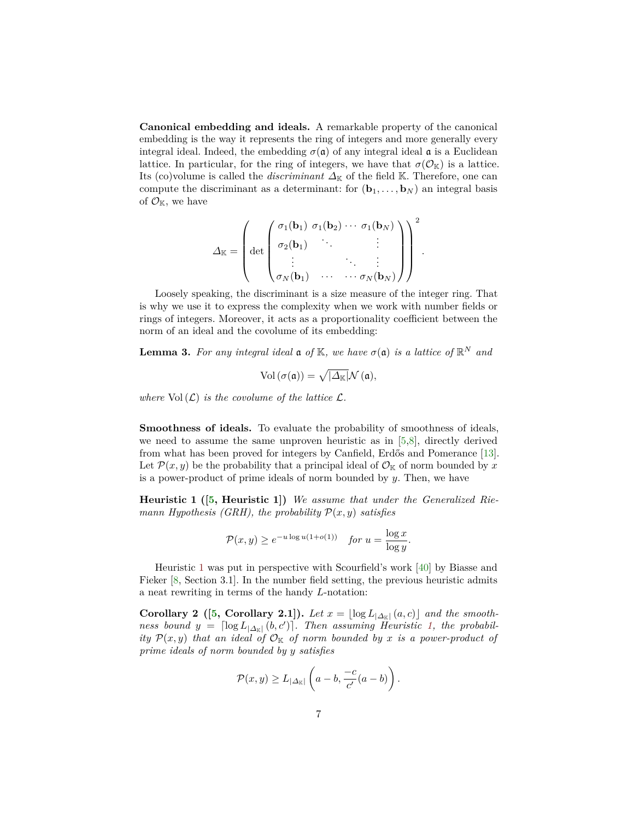**Canonical embedding and ideals.** A remarkable property of the canonical embedding is the way it represents the ring of integers and more generally every integral ideal. Indeed, the embedding  $\sigma(\mathfrak{a})$  of any integral ideal  $\mathfrak{a}$  is a Euclidean lattice. In particular, for the ring of integers, we have that  $\sigma(\mathcal{O}_{\mathbb{K}})$  is a lattice. Its (co)volume is called the *discriminant*  $\Delta$ <sub>K</sub> of the field K. Therefore, one can compute the discriminant as a determinant: for  $(\mathbf{b}_1, \ldots, \mathbf{b}_N)$  an integral basis of  $\mathcal{O}_{K}$ , we have

$$
\Delta_{\mathbb{K}} = \left( \det \begin{pmatrix} \sigma_1(\mathbf{b}_1) & \sigma_1(\mathbf{b}_2) & \cdots & \sigma_1(\mathbf{b}_N) \\ \sigma_2(\mathbf{b}_1) & \cdots & & \vdots \\ \vdots & & \ddots & \vdots \\ \sigma_N(\mathbf{b}_1) & \cdots & \cdots & \sigma_N(\mathbf{b}_N) \end{pmatrix} \right)^2.
$$

Loosely speaking, the discriminant is a size measure of the integer ring. That is why we use it to express the complexity when we work with number fields or rings of integers. Moreover, it acts as a proportionality coefficient between the norm of an ideal and the covolume of its embedding:

**Lemma 3.** For any integral ideal  $a$  of  $K$ , we have  $\sigma(a)$  is a lattice of  $\mathbb{R}^N$  and

$$
\text{Vol}\left(\sigma(\mathfrak{a})\right) = \sqrt{|\Delta_{\mathbb{K}}|} \mathcal{N}\left(\mathfrak{a}\right),
$$

*where*  $Vol(\mathcal{L})$  *is the covolume of the lattice*  $\mathcal{L}$ *.* 

**Smoothness of ideals.** To evaluate the probability of smoothness of ideals, we need to assume the same unproven heuristic as in [5,8], directly derived from what has been proved for integers by Canfield, Erdős and Pomerance [13]. Let  $\mathcal{P}(x, y)$  be the probability that a principal ideal of  $\mathcal{O}_{\mathbb{K}}$  of norm bounded by x is a power-product of prime ideals of norm bounded by *y*. Then, we have

**Heuristic 1 ([5, Heuristic 1])** *We assume that under the Generalized Riemann Hypothesis (GRH), the probability*  $\mathcal{P}(x, y)$  *satisfies* 

$$
\mathcal{P}(x, y) \ge e^{-u \log u(1 + o(1))} \quad \text{for } u = \frac{\log x}{\log y}.
$$

Heuristic 1 was put in perspective with Scourfield's work [40] by Biasse and Fieker [8, Section 3.1]. In the number field setting, the previous heuristic admits a neat rewriting in terms of the handy *L*-notation:

**Corollary 2** ([5, Corollary 2.1]). Let  $x = \lfloor \log L_{|\Delta_{\mathbb{K}}|}(a, c) \rfloor$  and the smooth*ness bound*  $y = \left[ \log L_{|\Delta_k|} (b, c') \right]$ . Then assuming Heuristic 1, the probabil*ity*  $\mathcal{P}(x, y)$  *that an ideal of*  $\mathcal{O}_{\mathbb{K}}$  *of norm bounded by x is a power-product of prime ideals of norm bounded by y satisfies*

$$
\mathcal{P}(x,y) \ge L_{|\Delta_{\mathbb{K}}|} \left( a - b, \frac{-c}{c'}(a - b) \right).
$$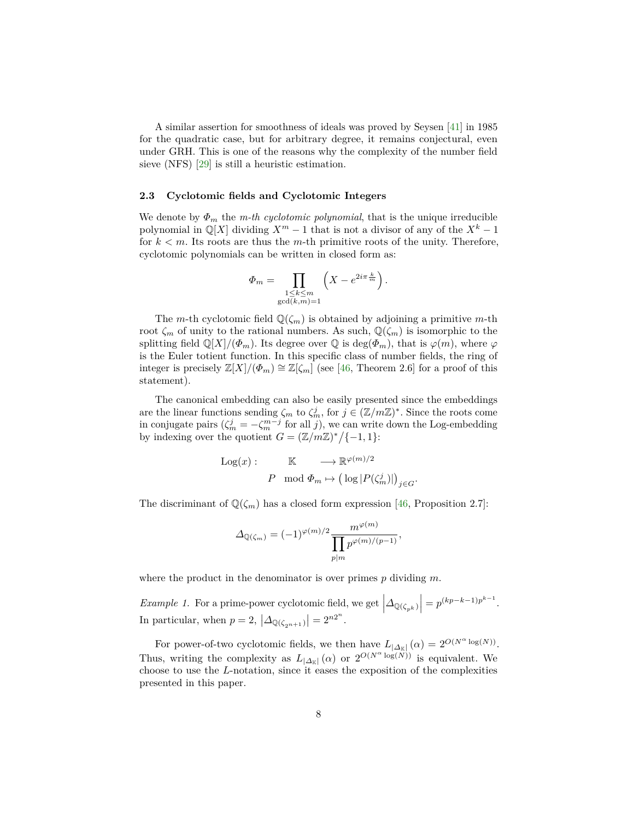A similar assertion for smoothness of ideals was proved by Seysen [41] in 1985 for the quadratic case, but for arbitrary degree, it remains conjectural, even under GRH. This is one of the reasons why the complexity of the number field sieve (NFS) [29] is still a heuristic estimation.

#### **2.3 Cyclotomic fields and Cyclotomic Integers**

We denote by  $\Phi_m$  the *m-th cyclotomic polynomial*, that is the unique irreducible polynomial in  $\mathbb{Q}[X]$  dividing  $X^m - 1$  that is not a divisor of any of the  $X^k - 1$ for  $k < m$ . Its roots are thus the *m*-th primitive roots of the unity. Therefore, cyclotomic polynomials can be written in closed form as:

$$
\varPhi_m = \prod_{\substack{1 \leq k \leq m \\ \gcd(k,m)=1}} \left( X - e^{2i\pi \frac{k}{m}} \right).
$$

The *m*-th cyclotomic field  $\mathbb{Q}(\zeta_m)$  is obtained by adjoining a primitive *m*-th root  $\zeta_m$  of unity to the rational numbers. As such,  $\mathbb{Q}(\zeta_m)$  is isomorphic to the splitting field  $\mathbb{Q}[X]/(\Phi_m)$ . Its degree over  $\mathbb{Q}$  is deg $(\Phi_m)$ , that is  $\varphi(m)$ , where  $\varphi$ is the Euler totient function. In this specific class of number fields, the ring of integer is precisely  $\mathbb{Z}[X]/(\Phi_m) \cong \mathbb{Z}[\zeta_m]$  (see [46, Theorem 2.6] for a proof of this statement).

The canonical embedding can also be easily presented since the embeddings are the linear functions sending  $\zeta_m$  to  $\zeta_m^j$ , for  $j \in (\mathbb{Z}/m\mathbb{Z})^*$ . Since the roots come in conjugate pairs  $(\zeta_m^j = -\zeta_m^{m-j}$  for all *j*), we can write down the Log-embedding by indexing over the quotient  $G = (\mathbb{Z}/m\mathbb{Z})^*/\{-1,1\}$ :

Log(x): 
$$
\mathbb{K} \longrightarrow \mathbb{R}^{\varphi(m)/2}
$$
  
\n $P \mod \Phi_m \mapsto \left( \log |P(\zeta_m^j)| \right)_{j \in G}.$ 

The discriminant of  $\mathbb{Q}(\zeta_m)$  has a closed form expression [46, Proposition 2.7]:

$$
\Delta_{\mathbb{Q}(\zeta_m)} = (-1)^{\varphi(m)/2} \frac{m^{\varphi(m)}}{\prod_{p|m} p^{\varphi(m)/(p-1)}},
$$

where the product in the denominator is over primes *p* dividing *m*.

*Example 1.* For a prime-power cyclotomic field, we get  $\left| \Delta_{\mathbb{Q}(\zeta_{p^k})} \right| = p^{(kp-k-1)p^{k-1}}$ . In particular, when  $p = 2$ ,  $\left| \Delta_{\mathbb{Q}(\zeta_{2n+1})} \right| = 2^{n2^n}$ .

For power-of-two cyclotomic fields, we then have  $L_{|\Delta_{\mathbb{K}}|}(\alpha) = 2^{O(N^{\alpha} \log(N))}$ . Thus, writing the complexity as  $L_{|\Delta_K|}(\alpha)$  or  $2^{O(N^{\alpha}\log(N))}$  is equivalent. We choose to use the *L*-notation, since it eases the exposition of the complexities presented in this paper.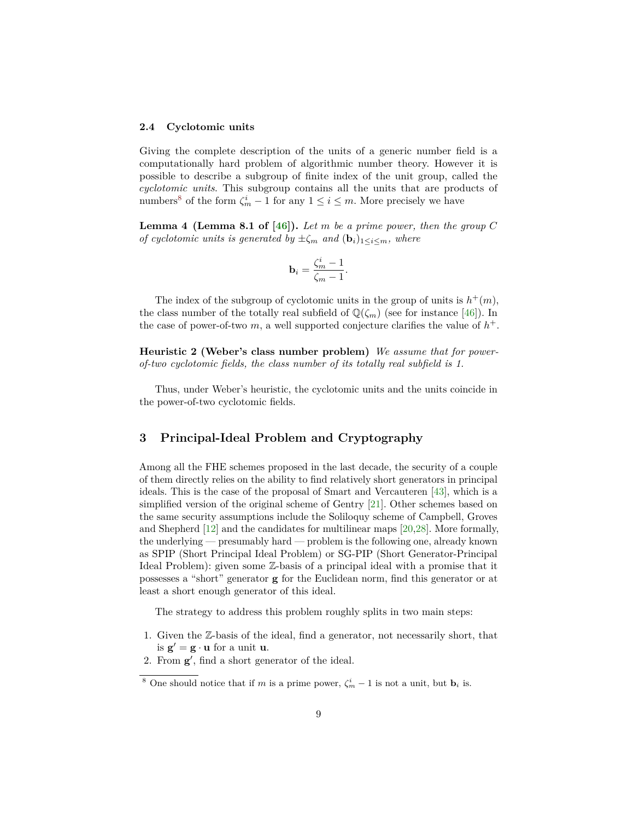#### **2.4 Cyclotomic units**

Giving the complete description of the units of a generic number field is a computationally hard problem of algorithmic number theory. However it is possible to describe a subgroup of finite index of the unit group, called the *cyclotomic units*. This subgroup contains all the units that are products of numbers<sup>8</sup> of the form  $\zeta_m^i - 1$  for any  $1 \leq i \leq m$ . More precisely we have

**Lemma 4** (Lemma 8.1 of  $[46]$ ). Let m be a prime power, then the group C *of cyclotomic units is generated by*  $\pm \zeta_m$  *and*  $(\mathbf{b}_i)_{1 \leq i \leq m}$ *, where* 

$$
\mathbf{b}_i = \frac{\zeta_m^i - 1}{\zeta_m - 1}.
$$

The index of the subgroup of cyclotomic units in the group of units is  $h^+(m)$ , the class number of the totally real subfield of  $\mathbb{Q}(\zeta_m)$  (see for instance [46]). In the case of power-of-two  $m$ , a well supported conjecture clarifies the value of  $h^+$ .

**Heuristic 2 (Weber's class number problem)** *We assume that for powerof-two cyclotomic fields, the class number of its totally real subfield is 1.*

Thus, under Weber's heuristic, the cyclotomic units and the units coincide in the power-of-two cyclotomic fields.

## **3 Principal-Ideal Problem and Cryptography**

Among all the FHE schemes proposed in the last decade, the security of a couple of them directly relies on the ability to find relatively short generators in principal ideals. This is the case of the proposal of Smart and Vercauteren [43], which is a simplified version of the original scheme of Gentry [21]. Other schemes based on the same security assumptions include the Soliloquy scheme of Campbell, Groves and Shepherd [12] and the candidates for multilinear maps [20,28]. More formally, the underlying — presumably hard — problem is the following one, already known as SPIP (Short Principal Ideal Problem) or SG-PIP (Short Generator-Principal Ideal Problem): given some Z-basis of a principal ideal with a promise that it possesses a "short" generator **g** for the Euclidean norm, find this generator or at least a short enough generator of this ideal.

The strategy to address this problem roughly splits in two main steps:

- 1. Given the Z-basis of the ideal, find a generator, not necessarily short, that is  $\mathbf{g}' = \mathbf{g} \cdot \mathbf{u}$  for a unit **u**.
- 2. From  $g'$ , find a short generator of the ideal.

<sup>&</sup>lt;sup>8</sup> One should notice that if *m* is a prime power,  $\zeta_m^i - 1$  is not a unit, but **b**<sub>*i*</sub> is.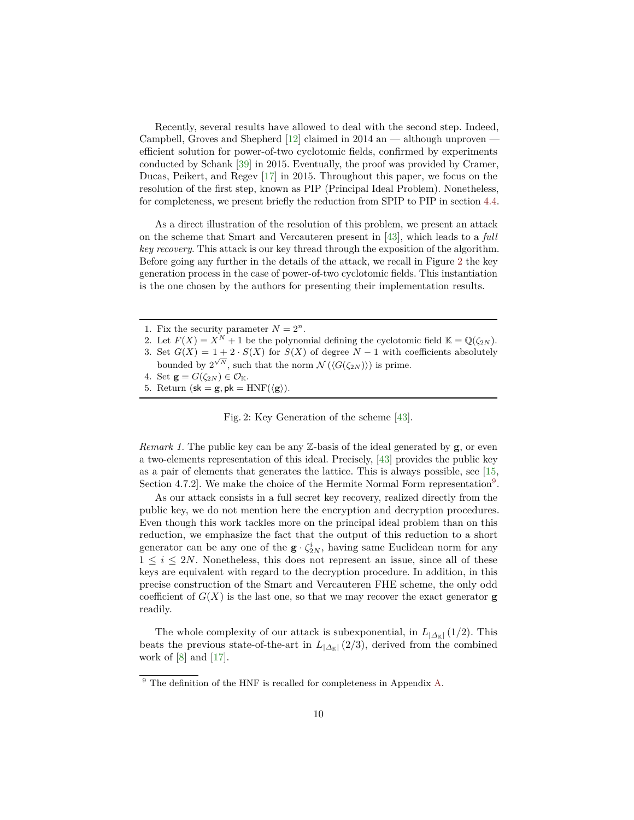Recently, several results have allowed to deal with the second step. Indeed, Campbell, Groves and Shepherd  $[12]$  claimed in 2014 an — although unproven – efficient solution for power-of-two cyclotomic fields, confirmed by experiments conducted by Schank [39] in 2015. Eventually, the proof was provided by Cramer, Ducas, Peikert, and Regev [17] in 2015. Throughout this paper, we focus on the resolution of the first step, known as PIP (Principal Ideal Problem). Nonetheless, for completeness, we present briefly the reduction from SPIP to PIP in section 4.4.

As a direct illustration of the resolution of this problem, we present an attack on the scheme that Smart and Vercauteren present in [43], which leads to a *full key recovery*. This attack is our key thread through the exposition of the algorithm. Before going any further in the details of the attack, we recall in Figure 2 the key generation process in the case of power-of-two cyclotomic fields. This instantiation is the one chosen by the authors for presenting their implementation results.

- 2. Let  $F(X) = X^N + 1$  be the polynomial defining the cyclotomic field  $\mathbb{K} = \mathbb{Q}(\zeta_{2N})$ .
- 3. Set  $G(X) = 1 + 2 \cdot S(X)$  for  $S(X)$  of degree  $N-1$  with coefficients absolutely bounded by  $2^{\sqrt{N}}$ , such that the norm  $\mathcal{N}(\langle G(\zeta_{2N})\rangle)$  is prime.
- 4. Set  $\mathbf{g} = G(\zeta_{2N}) \in \mathcal{O}_{\mathbb{K}}$ .
- 5. Return (sk =  $\mathbf{g}, \mathbf{pk} = \text{HNF}(\langle \mathbf{g} \rangle)$ .

Fig. 2: Key Generation of the scheme [43].

*Remark 1.* The public key can be any Z-basis of the ideal generated by **g**, or even a two-elements representation of this ideal. Precisely, [43] provides the public key as a pair of elements that generates the lattice. This is always possible, see [15, Section 4.7.2. We make the choice of the Hermite Normal Form representation<sup>9</sup>.

As our attack consists in a full secret key recovery, realized directly from the public key, we do not mention here the encryption and decryption procedures. Even though this work tackles more on the principal ideal problem than on this reduction, we emphasize the fact that the output of this reduction to a short generator can be any one of the  $\mathbf{g} \cdot \zeta_{2N}^i$ , having same Euclidean norm for any  $1 \leq i \leq 2N$ . Nonetheless, this does not represent an issue, since all of these keys are equivalent with regard to the decryption procedure. In addition, in this precise construction of the Smart and Vercauteren FHE scheme, the only odd coefficient of  $G(X)$  is the last one, so that we may recover the exact generator **g** readily.

The whole complexity of our attack is subexponential, in  $L_{|\Delta_{\mathbb{K}}|}(1/2)$ . This beats the previous state-of-the-art in  $L_{|\Delta_K|}(2/3)$ , derived from the combined work of  $[8]$  and  $[17]$ .

<sup>1.</sup> Fix the security parameter  $N = 2^n$ .

<sup>&</sup>lt;sup>9</sup> The definition of the HNF is recalled for completeness in Appendix A.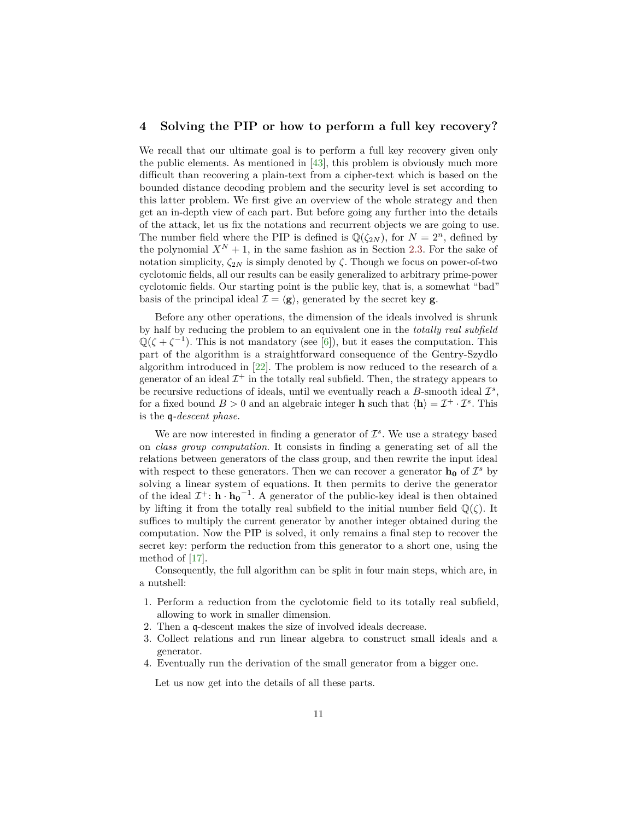## **4 Solving the PIP or how to perform a full key recovery?**

We recall that our ultimate goal is to perform a full key recovery given only the public elements. As mentioned in [43], this problem is obviously much more difficult than recovering a plain-text from a cipher-text which is based on the bounded distance decoding problem and the security level is set according to this latter problem. We first give an overview of the whole strategy and then get an in-depth view of each part. But before going any further into the details of the attack, let us fix the notations and recurrent objects we are going to use. The number field where the PIP is defined is  $\mathbb{Q}(\zeta_{2N})$ , for  $N=2^n$ , defined by the polynomial  $X^N + 1$ , in the same fashion as in Section 2.3. For the sake of notation simplicity,  $\zeta_{2N}$  is simply denoted by  $\zeta$ . Though we focus on power-of-two cyclotomic fields, all our results can be easily generalized to arbitrary prime-power cyclotomic fields. Our starting point is the public key, that is, a somewhat "bad" basis of the principal ideal  $\mathcal{I} = \langle \mathbf{g} \rangle$ , generated by the secret key **g**.

Before any other operations, the dimension of the ideals involved is shrunk by half by reducing the problem to an equivalent one in the *totally real subfield*  $\mathbb{Q}(\zeta + \zeta^{-1})$ . This is not mandatory (see [6]), but it eases the computation. This part of the algorithm is a straightforward consequence of the Gentry-Szydlo algorithm introduced in [22]. The problem is now reduced to the research of a generator of an ideal  $\mathcal{I}^+$  in the totally real subfield. Then, the strategy appears to be recursive reductions of ideals, until we eventually reach a  $B$ -smooth ideal  $\mathcal{I}^s$ , for a fixed bound  $B > 0$  and an algebraic integer **h** such that  $\langle \mathbf{h} \rangle = \mathcal{I}^+ \cdot \mathcal{I}^s$ . This is the q*-descent phase*.

We are now interested in finding a generator of  $\mathcal{I}^s$ . We use a strategy based on *class group computation*. It consists in finding a generating set of all the relations between generators of the class group, and then rewrite the input ideal with respect to these generators. Then we can recover a generator  $\mathbf{h_0}$  of  $\mathcal{I}^s$  by solving a linear system of equations. It then permits to derive the generator of the ideal  $\mathcal{I}^+$ : **h** ·  $\mathbf{h_0}^{-1}$ . A generator of the public-key ideal is then obtained by lifting it from the totally real subfield to the initial number field  $\mathbb{O}(\zeta)$ . It suffices to multiply the current generator by another integer obtained during the computation. Now the PIP is solved, it only remains a final step to recover the secret key: perform the reduction from this generator to a short one, using the method of [17].

Consequently, the full algorithm can be split in four main steps, which are, in a nutshell:

- 1. Perform a reduction from the cyclotomic field to its totally real subfield, allowing to work in smaller dimension.
- 2. Then a q-descent makes the size of involved ideals decrease.
- 3. Collect relations and run linear algebra to construct small ideals and a generator.
- 4. Eventually run the derivation of the small generator from a bigger one.

Let us now get into the details of all these parts.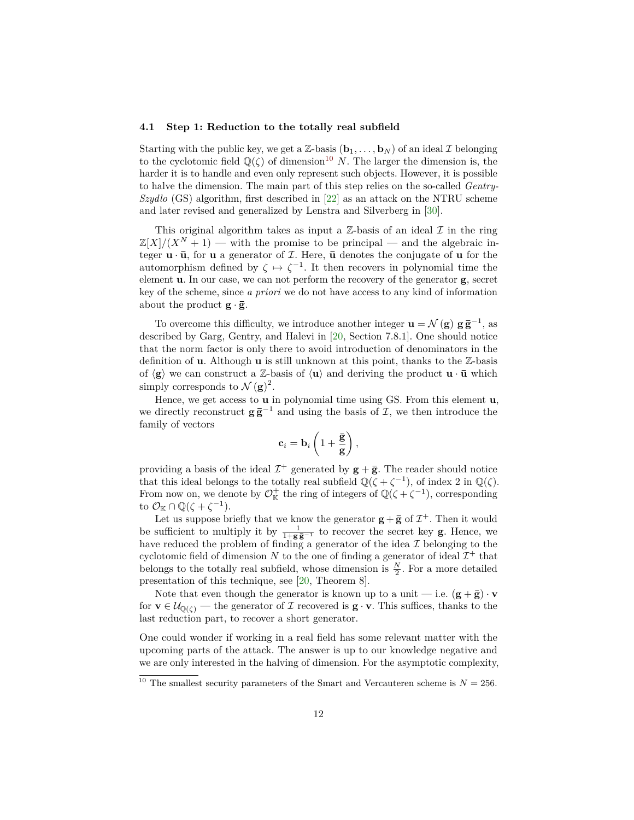#### **4.1 Step 1: Reduction to the totally real subfield**

Starting with the public key, we get a  $\mathbb{Z}$ -basis  $(\mathbf{b}_1, \ldots, \mathbf{b}_N)$  of an ideal  $\mathcal{I}$  belonging to the cyclotomic field  $\mathbb{Q}(\zeta)$  of dimension<sup>10</sup> *N*. The larger the dimension is, the harder it is to handle and even only represent such objects. However, it is possible to halve the dimension. The main part of this step relies on the so-called *Gentry-Szydlo* (GS) algorithm, first described in [22] as an attack on the NTRU scheme and later revised and generalized by Lenstra and Silverberg in [30].

This original algorithm takes as input a  $\mathbb{Z}$ -basis of an ideal  $\mathcal I$  in the ring  $\mathbb{Z}[X]/(X^N + 1)$  — with the promise to be principal — and the algebraic integer  $\mathbf{u} \cdot \bar{\mathbf{u}}$ , for **u** a generator of  $\mathcal{I}$ . Here,  $\bar{\mathbf{u}}$  denotes the conjugate of **u** for the automorphism defined by  $\zeta \mapsto \zeta^{-1}$ . It then recovers in polynomial time the element **u**. In our case, we can not perform the recovery of the generator **g**, secret key of the scheme, since *a priori* we do not have access to any kind of information about the product  $\mathbf{g} \cdot \bar{\mathbf{g}}$ .

To overcome this difficulty, we introduce another integer  $\mathbf{u} = \mathcal{N}(\mathbf{g}) \mathbf{g} \bar{\mathbf{g}}^{-1}$ , as described by Garg, Gentry, and Halevi in [20, Section 7.8.1]. One should notice that the norm factor is only there to avoid introduction of denominators in the definition of **u**. Although **u** is still unknown at this point, thanks to the Z-basis of  $\langle \mathbf{g} \rangle$  we can construct a Z-basis of  $\langle \mathbf{u} \rangle$  and deriving the product  $\mathbf{u} \cdot \mathbf{\bar{u}}$  which simply corresponds to  $\mathcal{N}(\mathbf{g})^2$ .

Hence, we get access to **u** in polynomial time using GS. From this element **u**, we directly reconstruct  $\mathbf{g}\bar{\mathbf{g}}^{-1}$  and using the basis of  $\mathcal{I}$ , we then introduce the family of vectors

$$
\mathbf{c}_i = \mathbf{b}_i \left( 1 + \frac{\bar{\mathbf{g}}}{\mathbf{g}} \right),
$$

providing a basis of the ideal  $\mathcal{I}^+$  generated by  $\mathbf{g} + \bar{\mathbf{g}}$ . The reader should notice that this ideal belongs to the totally real subfield  $\mathbb{Q}(\zeta + \zeta^{-1})$ , of index 2 in  $\mathbb{Q}(\zeta)$ . From now on, we denote by  $\mathcal{O}_{\mathbb{K}}^+$  the ring of integers of  $\mathbb{Q}(\zeta + \zeta^{-1})$ , corresponding to  $\mathcal{O}_\mathbb{K} \cap \mathbb{Q}(\zeta + \zeta^{-1}).$ 

Let us suppose briefly that we know the generator  $\mathbf{g} + \bar{\mathbf{g}}$  of  $\mathcal{I}^+$ . Then it would be sufficient to multiply it by  $\frac{1}{1+g\bar{g}^{-1}}$  to recover the secret key **g**. Hence, we have reduced the problem of finding a generator of the idea  $\mathcal I$  belonging to the cyclotomic field of dimension  $N$  to the one of finding a generator of ideal  $\mathcal{I}^+$  that belongs to the totally real subfield, whose dimension is  $\frac{N}{2}$ . For a more detailed presentation of this technique, see [20, Theorem 8].

Note that even though the generator is known up to a unit — i.e.  $(\mathbf{g} + \bar{\mathbf{g}}) \cdot \mathbf{v}$ for  $\mathbf{v} \in \mathcal{U}_{\mathbb{Q}(\zeta)}$  — the generator of  $\mathcal{I}$  recovered is  $\mathbf{g} \cdot \mathbf{v}$ . This suffices, thanks to the last reduction part, to recover a short generator.

One could wonder if working in a real field has some relevant matter with the upcoming parts of the attack. The answer is up to our knowledge negative and we are only interested in the halving of dimension. For the asymptotic complexity,

<sup>&</sup>lt;sup>10</sup> The smallest security parameters of the Smart and Vercauteren scheme is  $N = 256$ .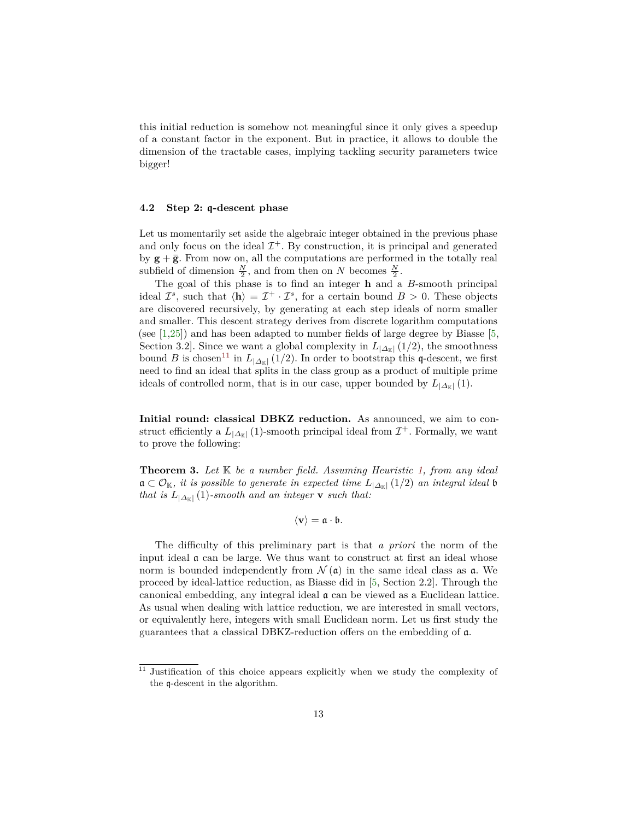this initial reduction is somehow not meaningful since it only gives a speedup of a constant factor in the exponent. But in practice, it allows to double the dimension of the tractable cases, implying tackling security parameters twice bigger!

#### **4.2 Step 2:** q**-descent phase**

Let us momentarily set aside the algebraic integer obtained in the previous phase and only focus on the ideal  $\mathcal{I}^+$ . By construction, it is principal and generated by  $\mathbf{g} + \bar{\mathbf{g}}$ . From now on, all the computations are performed in the totally real subfield of dimension  $\frac{N}{2}$ , and from then on *N* becomes  $\frac{N}{2}$ .

The goal of this phase is to find an integer **h** and a *B*-smooth principal ideal  $\mathcal{I}^s$ , such that  $\langle \mathbf{h} \rangle = \mathcal{I}^+ \cdot \mathcal{I}^s$ , for a certain bound  $B > 0$ . These objects are discovered recursively, by generating at each step ideals of norm smaller and smaller. This descent strategy derives from discrete logarithm computations (see  $[1,25]$ ) and has been adapted to number fields of large degree by Biasse [5, Section 3.2]. Since we want a global complexity in  $L_{|\Delta_{\mathbb{K}}|}(1/2)$ , the smoothness bound *B* is chosen<sup>11</sup> in  $L_{|\Delta_{\mathbb{K}}|}(\tilde{1}/2)$ . In order to bootstrap this q-descent, we first need to find an ideal that splits in the class group as a product of multiple prime ideals of controlled norm, that is in our case, upper bounded by  $L_{|\Delta_K|}(1)$ .

**Initial round: classical DBKZ reduction.** As announced, we aim to construct efficiently a  $L_{|\Delta_{\mathbb{K}}|}(1)$ -smooth principal ideal from  $\mathcal{I}^+$ . Formally, we want to prove the following:

**Theorem 3.** *Let* K *be a number field. Assuming Heuristic 1, from any ideal*  $\mathfrak{a} \subset \mathcal{O}_{\mathbb{K}}$ , it is possible to generate in expected time  $L_{|\Delta_{\mathbb{K}}|}(1/2)$  *an integral ideal* b *that is*  $L_{|\Delta_{\mathbb{K}}|}(1)$ *-smooth and an integer* **v** *such that:* 

$$
\langle \mathbf{v} \rangle = \mathfrak{a} \cdot \mathfrak{b}.
$$

The difficulty of this preliminary part is that *a priori* the norm of the input ideal a can be large. We thus want to construct at first an ideal whose norm is bounded independently from  $\mathcal{N}(\mathfrak{a})$  in the same ideal class as  $\mathfrak{a}$ . We proceed by ideal-lattice reduction, as Biasse did in [5, Section 2.2]. Through the canonical embedding, any integral ideal a can be viewed as a Euclidean lattice. As usual when dealing with lattice reduction, we are interested in small vectors, or equivalently here, integers with small Euclidean norm. Let us first study the guarantees that a classical DBKZ-reduction offers on the embedding of a.

<sup>&</sup>lt;sup>11</sup> Justification of this choice appears explicitly when we study the complexity of the q-descent in the algorithm.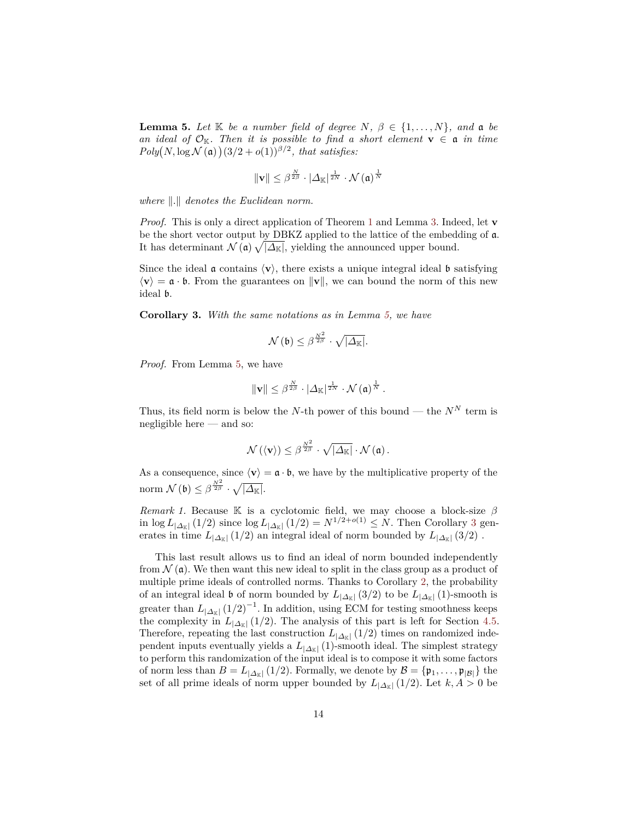**Lemma 5.** Let  $K$  be a number field of degree  $N, \beta \in \{1, \ldots, N\}$ , and a be *an ideal of*  $\mathcal{O}_{\mathbb{K}}$ *. Then it is possible to find a short element*  $\mathbf{v} \in \mathfrak{a}$  *in time*  $Poly(N, \log N(\mathfrak{a})) (3/2 + o(1))$ <sup> $\beta/2$ </sup>, that satisfies:

$$
\|\mathbf{v}\| \leq \beta^{\frac{N}{2\beta}} \cdot |\Delta_{\mathbb{K}}|^{\frac{1}{2N}} \cdot \mathcal{N}\left(\mathfrak{a}\right)^{\frac{1}{N}}
$$

*where*  $\Vert . \Vert$  *denotes the Euclidean norm.* 

*Proof.* This is only a direct application of Theorem 1 and Lemma 3. Indeed, let **v** be the short vector output by DBKZ applied to the lattice of the embedding of a. It has determinant  $\mathcal{N}(\mathfrak{a}) \sqrt{|\Delta_{\mathbb{K}}|}$ , yielding the announced upper bound.

Since the ideal  $\alpha$  contains  $\langle \mathbf{v} \rangle$ , there exists a unique integral ideal  $\beta$  satisfying  $\langle \mathbf{v} \rangle = \mathbf{\mathfrak{a}} \cdot \mathbf{\mathfrak{b}}$ . From the guarantees on  $\|\mathbf{v}\|$ , we can bound the norm of this new ideal b.

**Corollary 3.** *With the same notations as in Lemma 5, we have*

$$
\mathcal{N}(\mathfrak{b}) \leq \beta^{\frac{N^2}{2\beta}} \cdot \sqrt{|\Delta_{\mathbb{K}}|}.
$$

*Proof.* From Lemma 5, we have

$$
\|v\| \leq \beta^{\frac{N}{2\beta}} \cdot |\varDelta_{\mathbb{K}}|^{\frac{1}{2N}} \cdot \mathcal{N}\left(\mathfrak{a}\right)^{\frac{1}{N}}.
$$

Thus, its field norm is below the *N*-th power of this bound — the  $N^N$  term is negligible here — and so:

$$
\mathcal{N}\left(\langle \mathbf{v}\rangle\right) \leq \beta^{\frac{N^2}{2\beta}}\cdot \sqrt{|\Delta_{\mathbb{K}}|}\cdot \mathcal{N}\left(\mathfrak{a}\right).
$$

As a consequence, since  $\langle \mathbf{v} \rangle = \mathfrak{a} \cdot \mathfrak{b}$ , we have by the multiplicative property of the norm  $\mathcal{N}(\mathfrak{b}) \leq \beta^{\frac{N^2}{2\beta}} \cdot \sqrt{|\Delta_{\mathbb{K}}|}.$ 

*Remark 1.* Because K is a cyclotomic field, we may choose a block-size  $\beta$ in  $\log L_{|\Delta_{\mathbb{K}}|}(1/2)$  since  $\log L_{|\Delta_{\mathbb{K}}|}(1/2) = N^{1/2 + o(1)} \leq N$ . Then Corollary 3 generates in time  $L_{|\Delta_K|} (1/2)$  an integral ideal of norm bounded by  $L_{|\Delta_K|} (3/2)$ .

This last result allows us to find an ideal of norm bounded independently from  $\mathcal{N}(\mathfrak{a})$ . We then want this new ideal to split in the class group as a product of multiple prime ideals of controlled norms. Thanks to Corollary 2, the probability of an integral ideal  $\mathfrak b$  of norm bounded by  $L_{|\Delta_{\mathbb K}|}(3/2)$  to be  $L_{|\Delta_{\mathbb K}|}(1)$ -smooth is greater than  $L_{|\Delta_K|}(1/2)^{-1}$ . In addition, using ECM for testing smoothness keeps the complexity in  $L_{|\Delta_{\mathbb{K}}|}(1/2)$ . The analysis of this part is left for Section 4.5. Therefore, repeating the last construction  $L_{|\Delta_K|}(1/2)$  times on randomized independent inputs eventually yields a  $L_{|\Delta_{\kappa}|}(1)$ -smooth ideal. The simplest strategy to perform this randomization of the input ideal is to compose it with some factors of norm less than  $B = L_{|\Delta_{\mathbb{K}}|}(1/2)$ . Formally, we denote by  $\mathcal{B} = {\mathfrak{p}}_1, \ldots, {\mathfrak{p}}_{|\mathcal{B}|}$  the set of all prime ideals of norm upper bounded by  $L_{|\Delta_{\mathbb{K}}|}(1/2)$ . Let  $k, A > 0$  be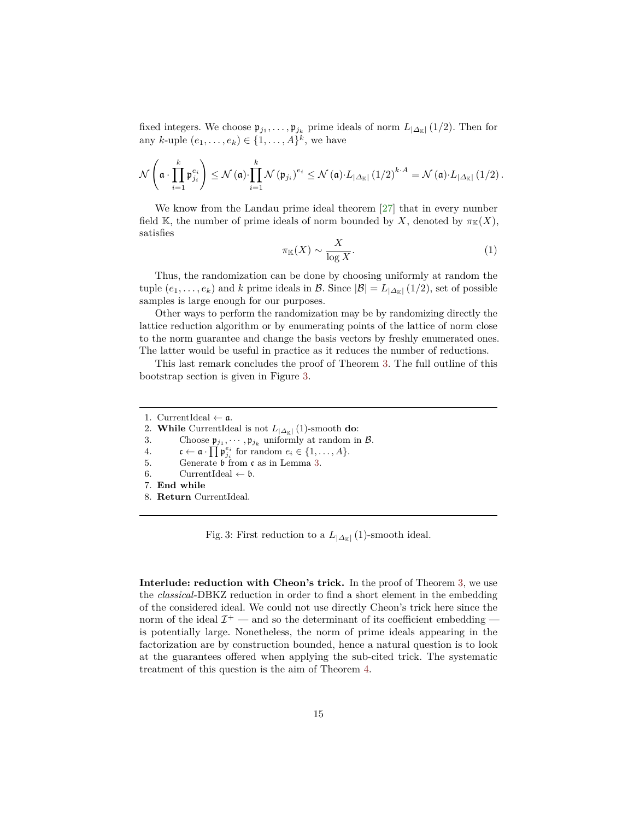fixed integers. We choose  $\mathfrak{p}_{j_1}, \ldots, \mathfrak{p}_{j_k}$  prime ideals of norm  $L_{|\Delta_{\mathbb{K}}|}(1/2)$ . Then for any *k*-uple  $(e_1, ..., e_k) \in \{1, ..., A\}^k$ , we have

$$
\mathcal{N}\left(\mathfrak{a}\cdot\prod_{i=1}^{k} \mathfrak{p}_{j_i}^{e_i}\right)\leq \mathcal{N}\left(\mathfrak{a}\right)\cdot \prod_{i=1}^{k} \mathcal{N}\left(\mathfrak{p}_{j_i}\right)^{e_i}\leq \mathcal{N}\left(\mathfrak{a}\right)\cdot L_{\left|\varDelta_{\mathbb{K}}\right|}\left(1/2\right)^{k\cdot A}=\mathcal{N}\left(\mathfrak{a}\right)\cdot L_{\left|\varDelta_{\mathbb{K}}\right|}\left(1/2\right).
$$

We know from the Landau prime ideal theorem [27] that in every number field K, the number of prime ideals of norm bounded by X, denoted by  $\pi_K(X)$ , satisfies

$$
\pi_{\mathbb{K}}(X) \sim \frac{X}{\log X}.\tag{1}
$$

Thus, the randomization can be done by choosing uniformly at random the tuple  $(e_1, \ldots, e_k)$  and *k* prime ideals in B. Since  $|\mathcal{B}| = L_{|\Delta_{\mathbb{K}}|}(1/2)$ , set of possible samples is large enough for our purposes.

Other ways to perform the randomization may be by randomizing directly the lattice reduction algorithm or by enumerating points of the lattice of norm close to the norm guarantee and change the basis vectors by freshly enumerated ones. The latter would be useful in practice as it reduces the number of reductions.

This last remark concludes the proof of Theorem 3. The full outline of this bootstrap section is given in Figure 3.

- 2. **While** CurrentIdeal is not  $L_{|\Delta_K|}(1)$ -smooth **do**:
- 3. Choose  $\mathfrak{p}_{j_1}, \dots, \mathfrak{p}_{j_k}$  uniformly at random in  $\mathcal{B}$ .
- 4.  $\mathfrak{c} \leftarrow \mathfrak{a} \cdot \prod_{j} \mathfrak{p}_{j_i}^{e_i}$  for random  $e_i \in \{1, \ldots, A\}.$
- 5. Generate b from c as in Lemma 3.
- 6. CurrentIdeal  $\leftarrow b$ .
- 7. **End while**
- 8. **Return** CurrentIdeal.

Fig. 3: First reduction to a  $L_{|\Delta_{\mathbb{K}}|}(1)$ -smooth ideal.

**Interlude: reduction with Cheon's trick.** In the proof of Theorem 3, we use the *classical*-DBKZ reduction in order to find a short element in the embedding of the considered ideal. We could not use directly Cheon's trick here since the norm of the ideal  $\mathcal{I}^+$  — and so the determinant of its coefficient embedding is potentially large. Nonetheless, the norm of prime ideals appearing in the factorization are by construction bounded, hence a natural question is to look at the guarantees offered when applying the sub-cited trick. The systematic treatment of this question is the aim of Theorem 4.

<sup>1.</sup> CurrentIdeal  $\leftarrow$  a.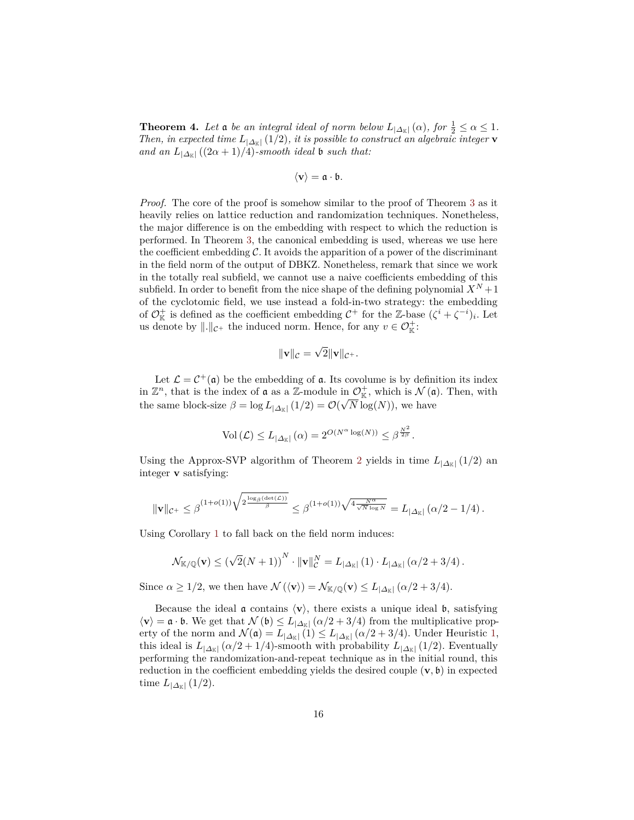**Theorem 4.** Let  $\mathfrak{a}$  be an integral ideal of norm below  $L_{|\Delta_{\mathbb{K}}|}(\alpha)$ , for  $\frac{1}{2} \leq \alpha \leq 1$ . *Then, in expected time*  $L_{|\Delta_{\mathbb{K}}|}(1/2)$ *, it is possible to construct an algebraic integer* **v** *and an*  $L_{|\Delta_{\mathbb{K}}|}((2\alpha+1)/4)$ *-smooth ideal* b *such that:* 

$$
\langle \mathbf{v} \rangle = \mathfrak{a} \cdot \mathfrak{b}.
$$

*Proof.* The core of the proof is somehow similar to the proof of Theorem 3 as it heavily relies on lattice reduction and randomization techniques. Nonetheless, the major difference is on the embedding with respect to which the reduction is performed. In Theorem 3, the canonical embedding is used, whereas we use here the coefficient embedding  $C$ . It avoids the apparition of a power of the discriminant in the field norm of the output of DBKZ. Nonetheless, remark that since we work in the totally real subfield, we cannot use a naive coefficients embedding of this subfield. In order to benefit from the nice shape of the defining polynomial  $X^N + 1$ of the cyclotomic field, we use instead a fold-in-two strategy: the embedding of  $\mathcal{O}_{\mathbb{K}}^+$  is defined as the coefficient embedding  $\mathcal{C}^+$  for the Z-base  $(\zeta^i + \zeta^{-i})_i$ . Let us denote by  $\| \cdot \|_{\mathcal{C}^+}$  the induced norm. Hence, for any  $v \in \mathcal{O}_{\mathbb{K}}^+$ :

$$
\|\mathbf{v}\|_{\mathcal{C}}=\sqrt{2}\|\mathbf{v}\|_{\mathcal{C}^+}.
$$

Let  $\mathcal{L} = \mathcal{C}^+(\mathfrak{a})$  be the embedding of  $\mathfrak{a}$ . Its covolume is by definition its index in  $\mathbb{Z}^n$ , that is the index of **a** as a  $\mathbb{Z}$ -module in  $\mathcal{O}_{\mathbb{K}}^+$ , which is  $\mathcal{N}(\mathfrak{a})$ . Then, with the same block-size  $\beta = \log L_{|\Delta_{\mathbb{K}}|}(1/2) = \mathcal{O}(\sqrt{N} \log(N))$ , we have

$$
\text{Vol}\left(\mathcal{L}\right) \le L_{|\Delta_{\mathbb{K}}|}(\alpha) = 2^{O(N^{\alpha}\log(N))} \le \beta^{\frac{N^2}{2\beta}}.
$$

Using the Approx-SVP algorithm of Theorem 2 yields in time  $L_{|\Delta_K|}(1/2)$  and integer **v** satisfying:

$$
\|\mathbf{v}\|_{\mathcal{C}^+}\leq \beta^{(1+o(1))\sqrt{2^{\frac{\log_\beta\left(\det(\mathcal{L})\right)}{\beta}}}}\leq \beta^{(1+o(1))\sqrt{4\frac{N^\alpha}{\sqrt{N\log N}}}}=L_{|\Delta_{\mathbb{K}}|}\left(\alpha/2-1/4\right).
$$

Using Corollary 1 to fall back on the field norm induces:

$$
\mathcal{N}_{\mathbb{K}/\mathbb{Q}}(\mathbf{v}) \leq \left(\sqrt{2}(N+1)\right)^N \cdot \|\mathbf{v}\|_{\mathcal{C}}^N = L_{|\Delta_{\mathbb{K}}|}\left(1\right) \cdot L_{|\Delta_{\mathbb{K}}|}\left(\alpha/2 + 3/4\right).
$$

Since  $\alpha \geq 1/2$ , we then have  $\mathcal{N}(\langle \mathbf{v} \rangle) = \mathcal{N}_{\mathbb{K}/\mathbb{Q}}(\mathbf{v}) \leq L_{|\Delta_{\mathbb{K}}|}(\alpha/2 + 3/4)$ .

Because the ideal  $\alpha$  contains  $\langle \mathbf{v} \rangle$ , there exists a unique ideal  $\beta$ , satisfying  $\langle \mathbf{v} \rangle = \mathfrak{a} \cdot \mathfrak{b}$ . We get that  $\mathcal{N}(\mathfrak{b}) \leq L_{|\Delta_{\mathbb{K}}|}(\alpha/2 + 3/4)$  from the multiplicative property of the norm and  $\mathcal{N}(\mathfrak{a}) = L_{|\Delta_{\mathbb{K}}|}(\mathfrak{a}) \leq L_{|\Delta_{\mathbb{K}}|}(\alpha/2 + 3/4)$ . Under Heuristic 1, this ideal is  $L_{|\Delta_{\mathbb{K}}|}(\alpha/2 + 1/4)$ -smooth with probability  $L_{|\Delta_{\mathbb{K}}|}(1/2)$ . Eventually performing the randomization-and-repeat technique as in the initial round, this reduction in the coefficient embedding yields the desired couple (**v***,* b) in expected time  $L_{|\Delta_{\mathbb{K}}|}(1/2)$ .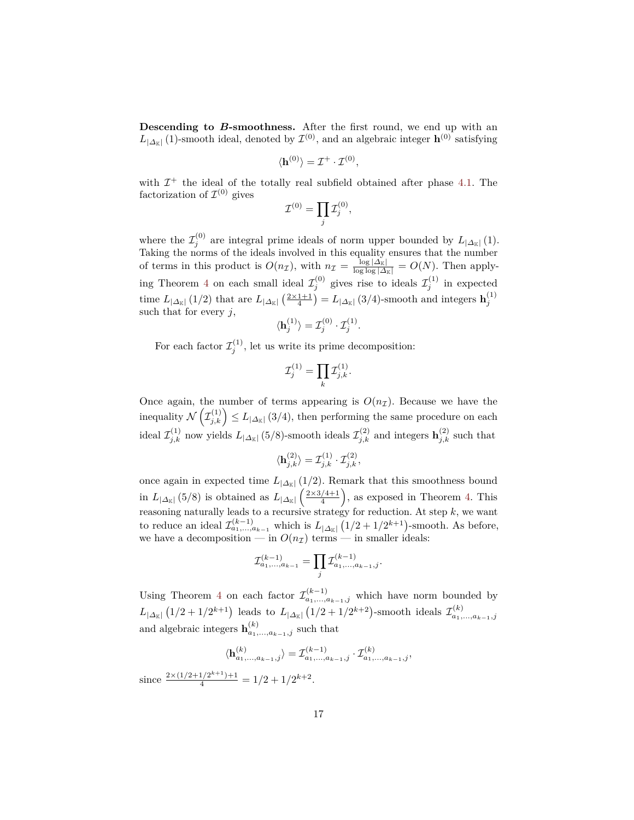**Descending to** *B***-smoothness.** After the first round, we end up with an  $L_{|\Delta_{\mathbb{K}}|}(1)$ -smooth ideal, denoted by  $\mathcal{I}^{(0)}$ , and an algebraic integer  $\mathbf{h}^{(0)}$  satisfying

$$
\langle \mathbf{h}^{(0)} \rangle = \mathcal{I}^+ \cdot \mathcal{I}^{(0)},
$$

with  $\mathcal{I}^+$  the ideal of the totally real subfield obtained after phase 4.1. The factorization of  $\mathcal{I}^{(0)}$  gives

$$
\mathcal{I}^{(0)} = \prod_j \mathcal{I}_j^{(0)},
$$

where the  $\mathcal{I}_{j}^{(0)}$  are integral prime ideals of norm upper bounded by  $L_{|\Delta_{\mathbb{K}}|}(1)$ . Taking the norms of the ideals involved in this equality ensures that the number of terms in this product is  $O(n_{\mathcal{I}})$ , with  $n_{\mathcal{I}} = \frac{\log |\Delta_{\mathbb{K}}|}{\log \log |\Delta_{\mathbb{K}}|} = O(N)$ . Then applying Theorem 4 on each small ideal  $\mathcal{I}_{j}^{(0)}$  gives rise to ideals  $\mathcal{I}_{j}^{(1)}$  in expected  $\lim_{L \to \infty} L_{|\Delta_{\mathbb{K}}|} (1/2)$  that are  $L_{|\Delta_{\mathbb{K}}|} (\frac{2 \times 1 + 1}{4}) = L_{|\Delta_{\mathbb{K}}|} (3/4)$ -smooth and integers  $\mathbf{h}_j^{(1)}$ such that for every *j*,

$$
\langle \mathbf{h}_j^{(1)} \rangle = \mathcal{I}_j^{(0)} \cdot \mathcal{I}_j^{(1)}.
$$

For each factor  $\mathcal{I}_j^{(1)}$ , let us write its prime decomposition:

$$
\mathcal{I}^{(1)}_j = \prod_k \mathcal{I}^{(1)}_{j,k}.
$$

Once again, the number of terms appearing is  $O(n<sub>\mathcal{I</sub>)$ . Because we have the inequality  $\mathcal{N}(\mathcal{I}_{j,k}^{(1)}) \leq L_{|\Delta_{\mathbb{K}}|}(3/4)$ , then performing the same procedure on each ideal  $\mathcal{I}_{j,k}^{(1)}$  now yields  $L_{|\Delta_{\mathbb{K}}|}(5/8)$ -smooth ideals  $\mathcal{I}_{j,k}^{(2)}$  and integers  $\mathbf{h}_{j,k}^{(2)}$  such that

$$
\langle \mathbf{h}_{j,k}^{(2)} \rangle = \mathcal{I}_{j,k}^{(1)} \cdot \mathcal{I}_{j,k}^{(2)},
$$

once again in expected time  $L_{|\Delta_K|}(1/2)$ . Remark that this smoothness bound in  $L_{|\Delta_{\mathbb{K}}|}(5/8)$  is obtained as  $L_{|\Delta_{\mathbb{K}}|}(\frac{2\times3/4+1}{4})$  $\left(\frac{1}{4}+1\right)$ , as exposed in Theorem 4. This reasoning naturally leads to a recursive strategy for reduction. At step *k*, we want to reduce an ideal  $\mathcal{I}_{a_1,...,a_{k-1}}^{(k-1)}$  which is  $L_{|\Delta_{\mathbb{K}}|}(1/2+1/2^{k+1})$ -smooth. As before, we have a decomposition — in  $O(n<sub>\mathcal{I}</sub>)$  terms — in smaller ideals:

$$
\mathcal{I}_{a_1,...,a_{k-1}}^{(k-1)} = \prod_j \mathcal{I}_{a_1,...,a_{k-1},j}^{(k-1)}.
$$

Using Theorem 4 on each factor  $\mathcal{I}_{a_1,\ldots,a_{k-1},j}^{(k-1)}$  which have norm bounded by  $L_{|\Delta_{\mathbb{K}}|}(1/2 + 1/2^{k+1})$  leads to  $L_{|\Delta_{\mathbb{K}}|}(1/2 + 1/2^{k+2})$ -smooth ideals  $\mathcal{I}_{a_1,...,a_{k-1},j}^{(k)}$ and algebraic integers  $\mathbf{h}_{a_1,...,a_{k-1},j}^{(k)}$  such that

$$
\langle \mathbf{h}_{a_1,...,a_{k-1},j}^{(k)} \rangle = \mathcal{I}_{a_1,...,a_{k-1},j}^{(k-1)} \cdot \mathcal{I}_{a_1,...,a_{k-1},j}^{(k)},
$$

since  $\frac{2 \times (1/2 + 1/2^{k+1}) + 1}{4} = 1/2 + 1/2^{k+2}$ .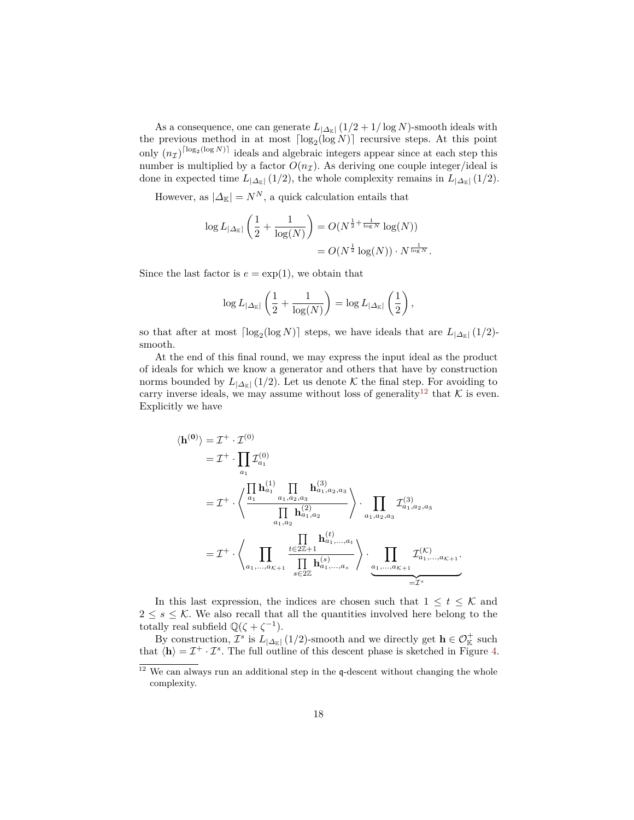As a consequence, one can generate  $L_{|\Delta_{\mathbb{K}}|} (1/2 + 1/\log N)$ -smooth ideals with the previous method in at most  $\lceil \log_2(\log N) \rceil$  recursive steps. At this point only  $(n_{\mathcal{I}})^{\lceil \log_2(\log N) \rceil}$  ideals and algebraic integers appear since at each step this number is multiplied by a factor  $O(n<sub>\mathcal{I</sub>)$ . As deriving one couple integer/ideal is done in expected time  $L_{|\Delta_{\mathbb{K}}|} (1/2)$ , the whole complexity remains in  $L_{|\Delta_{\mathbb{K}}|} (1/2)$ .

However, as  $|\Delta_{\mathbb{K}}| = N^N$ , a quick calculation entails that

$$
\log L_{|\Delta_{\mathbb{K}}|} \left( \frac{1}{2} + \frac{1}{\log(N)} \right) = O(N^{\frac{1}{2} + \frac{1}{\log N}} \log(N))
$$
  
=  $O(N^{\frac{1}{2}} \log(N)) \cdot N^{\frac{1}{\log N}}.$ 

Since the last factor is  $e = \exp(1)$ , we obtain that

$$
\log L_{|\Delta_{\mathbb{K}}|}\left(\frac{1}{2}+\frac{1}{\log(N)}\right)=\log L_{|\Delta_{\mathbb{K}}|}\left(\frac{1}{2}\right),\right)
$$

so that after at most  $\lceil \log_2(\log N) \rceil$  steps, we have ideals that are  $L_{|\Delta_K|}(1/2)$ smooth.

At the end of this final round, we may express the input ideal as the product of ideals for which we know a generator and others that have by construction norms bounded by  $L_{|\Delta_K|}(1/2)$ . Let us denote K the final step. For avoiding to carry inverse ideals, we may assume without loss of generality<sup>12</sup> that  $K$  is even. Explicitly we have

$$
\langle \mathbf{h}^{(0)} \rangle = \mathcal{I}^{+} \cdot \mathcal{I}^{(0)} =
$$
  
\n
$$
= \mathcal{I}^{+} \cdot \left\{ \frac{\prod_{a_1} \mathbf{h}_{a_1}^{(1)} \prod_{a_1, a_2, a_3} \mathbf{h}_{a_1, a_2, a_3}^{(3)}}{\prod_{a_1, a_2} \mathbf{h}_{a_1, a_2}^{(2)}} \right\} \cdot \prod_{a_1, a_2, a_3} \mathcal{I}_{a_1, a_2, a_3}^{(3)}
$$
  
\n
$$
= \mathcal{I}^{+} \cdot \left\langle \prod_{a_1, \dots, a_{K+1}} \frac{\prod_{t \in 2\mathbb{Z}+1} \mathbf{h}_{a_1, \dots, a_t}^{(t)}}{\prod_{s \in 2\mathbb{Z}} \mathbf{h}_{a_1, \dots, a_s}^{(s)}} \right\rangle \cdot \prod_{\substack{a_1, \dots, a_{K+1} \\ \underbrace{\prod_{t \in 2\mathbb{Z}}} \mathbf{h}_{a_1, \dots, a_{K+1}}^{(t)}} \mathcal{I}_{a_1, \dots, a_{K+1}}^{(K)}.
$$

In this last expression, the indices are chosen such that  $1 \leq t \leq \mathcal{K}$  and  $2 \leq s \leq \mathcal{K}$ . We also recall that all the quantities involved here belong to the totally real subfield  $\mathbb{Q}(\zeta + \zeta^{-1})$ .

By construction,  $\mathcal{I}^s$  is  $L_{|\Delta_{\mathbb{K}}|}(1/2)$ -smooth and we directly get  $\mathbf{h} \in \mathcal{O}_{\mathbb{K}}^+$  such that  $\langle \mathbf{h} \rangle = \mathcal{I}^+ \cdot \mathcal{I}^s$ . The full outline of this descent phase is sketched in Figure 4.

 $12$  We can always run an additional step in the q-descent without changing the whole complexity.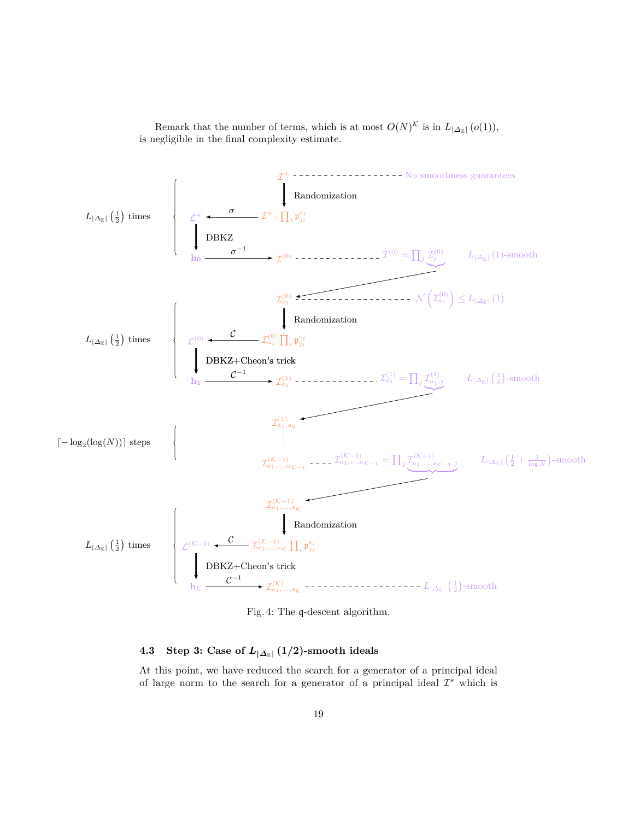

Remark that the number of terms, which is at most  $O(N)^{\mathcal{K}}$  is in  $L_{|\Delta_{\mathbb{K}}|}(o(1)),$ is negligible in the final complexity estimate.

Fig. 4: The q-descent algorithm.

## **4.3** Step 3: Case of  $L_{|\Delta_{\mathbb{K}}|}(1/2)$ -smooth ideals

At this point, we have reduced the search for a generator of a principal ideal of large norm to the search for a generator of a principal ideal  $\mathcal{I}^s$  which is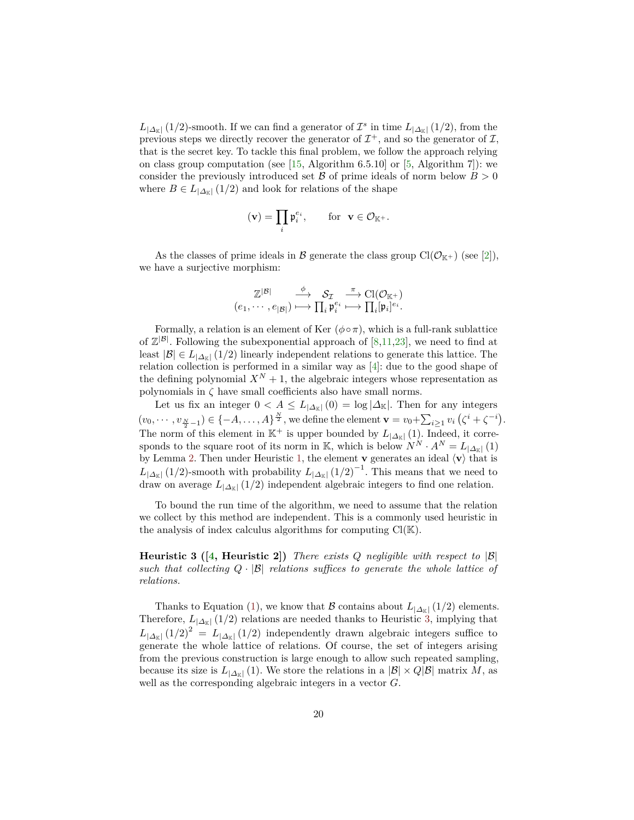$L_{|\Delta_{\mathbb{K}}|}(1/2)$ -smooth. If we can find a generator of  $\mathcal{I}^s$  in time  $L_{|\Delta_{\mathbb{K}}|}(1/2)$ , from the previous steps we directly recover the generator of  $\mathcal{I}^+$ , and so the generator of  $\mathcal{I}$ , that is the secret key. To tackle this final problem, we follow the approach relying on class group computation (see  $[15,$  Algorithm 6.5.10] or  $[5,$  Algorithm 7]): we consider the previously introduced set  $\beta$  of prime ideals of norm below  $B > 0$ where  $B \in L_{|\Delta_{\mathbb{K}}|}(1/2)$  and look for relations of the shape

$$
(\mathbf{v})=\prod_i \mathfrak{p}_i^{e_i}, \qquad \text{for} \ \ \mathbf{v}\in \mathcal{O}_{\mathbb{K}^+}.
$$

As the classes of prime ideals in B generate the class group  $Cl(\mathcal{O}_{K^+})$  (see [2]), we have a surjective morphism:

$$
\mathbb{Z}^{|\mathcal{B}|} \xrightarrow{\phi} \mathcal{S}_{\mathcal{I}} \xrightarrow{\pi} \mathrm{Cl}(\mathcal{O}_{\mathbb{K}^+})
$$

$$
(e_1, \cdots, e_{|\mathcal{B}|}) \longmapsto \prod_i \mathfrak{p}_i^{e_i} \longmapsto \prod_i [\mathfrak{p}_i]^{e_i}.
$$

Formally, a relation is an element of Ker  $(\phi \circ \pi)$ , which is a full-rank sublattice of  $\mathbb{Z}^{|\mathcal{B}|}$ . Following the subexponential approach of [8,11,23], we need to find at least  $|\mathcal{B}| \in L_{|\Delta_{\kappa}|}(1/2)$  linearly independent relations to generate this lattice. The relation collection is performed in a similar way as [4]: due to the good shape of the defining polynomial  $X^N + 1$ , the algebraic integers whose representation as polynomials in *ζ* have small coefficients also have small norms.

Let us fix an integer  $0 < A \leq L_{|\Delta_{\mathbb{K}}|}(0) = \log |\Delta_{\mathbb{K}}|$ . Then for any integers  $(v_0, \dots, v_{\frac{N}{2}-1}) \in \{-A, \dots, A\}^{\frac{N}{2}}$ , we define the element  $\mathbf{v} = v_0 + \sum_{i \geq 1} v_i \left( \zeta^i + \zeta^{-i} \right)$ . The norm of this element in K<sup>+</sup> is upper bounded by  $L_{|\Delta_{\mathbb{K}}|}(1)$ . Indeed, it corresponds to the square root of its norm in K, which is below  $N^N \cdot A^N = L_{|\Delta_K|}(1)$ by Lemma 2. Then under Heuristic 1, the element **v** generates an ideal  $\langle \mathbf{v} \rangle$  that is  $L_{|\Delta_{\mathbb{K}}|}(1/2)$ -smooth with probability  $L_{|\Delta_{\mathbb{K}}|}(1/2)^{-1}$ . This means that we need to draw on average  $L_{|\Delta_x|} (1/2)$  independent algebraic integers to find one relation.

To bound the run time of the algorithm, we need to assume that the relation we collect by this method are independent. This is a commonly used heuristic in the analysis of index calculus algorithms for computing Cl(K).

**Heuristic 3 ([4, Heuristic 2])** *There exists Q negligible with respect to* |B| *such that collecting*  $Q \cdot |\mathcal{B}|$  *relations suffices to generate the whole lattice of relations.*

Thanks to Equation (1), we know that B contains about  $L_{|\Delta_K|}(1/2)$  elements. Therefore,  $L_{|\Delta_K|}(1/2)$  relations are needed thanks to Heuristic 3, implying that  $L_{|\Delta_{\mathbb{K}}|}(1/2)^{2} = L_{|\Delta_{\mathbb{K}}|}(1/2)$  independently drawn algebraic integers suffice to generate the whole lattice of relations. Of course, the set of integers arising from the previous construction is large enough to allow such repeated sampling, because its size is  $L_{|\Delta_K|}(1)$ . We store the relations in a  $|\mathcal{B}| \times Q|\mathcal{B}|$  matrix M, as well as the corresponding algebraic integers in a vector *G*.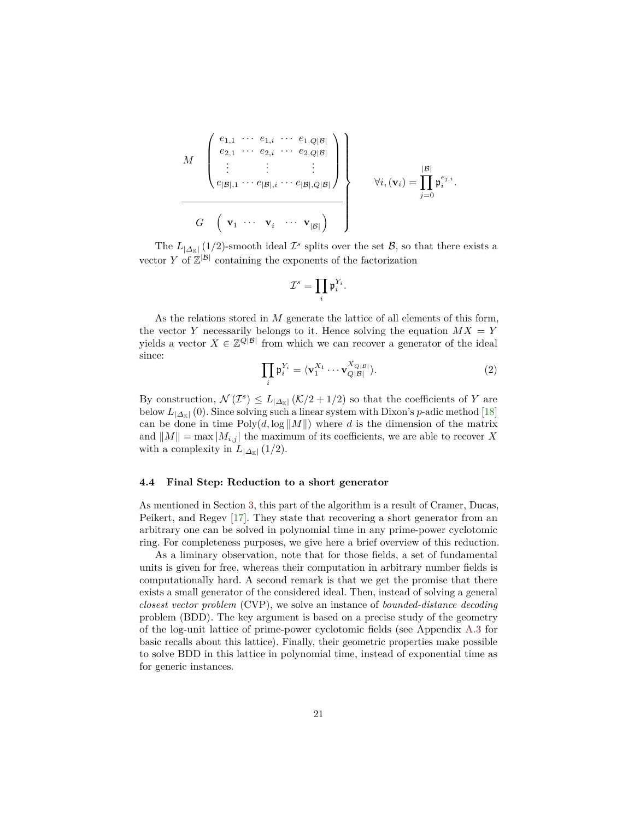$$
M \left( \begin{array}{cccc} e_{1,1} & \cdots & e_{1,i} & \cdots & e_{1,Q|\mathcal{B}|} \\ e_{2,1} & \cdots & e_{2,i} & \cdots & e_{2,Q|\mathcal{B}|} \\ \vdots & \vdots & & \vdots \\ e_{|\mathcal{B}|,1} & \cdots & e_{|\mathcal{B}|,i} & \cdots & e_{|\mathcal{B}|,Q|\mathcal{B}|} \end{array} \right) \right) \qquad \forall i, (\mathbf{v}_i) = \prod_{j=0}^{|\mathcal{B}|} \mathfrak{p}_i^{e_{j,i}}.
$$

The  $L_{|\Delta_{\mathbb{K}}|}(1/2)$ -smooth ideal  $\mathcal{I}^s$  splits over the set  $\mathcal{B}$ , so that there exists a vector *Y* of  $\mathbb{Z}^{|\mathcal{B}|}$  containing the exponents of the factorization

$$
\mathcal{I}^s = \prod_i \mathfrak{p}_i^{Y_i}.
$$

As the relations stored in *M* generate the lattice of all elements of this form, the vector *Y* necessarily belongs to it. Hence solving the equation  $MX = Y$ yields a vector  $X \in \mathbb{Z}^{\mathbb{Q}|\mathcal{B}|}$  from which we can recover a generator of the ideal since:

$$
\prod_{i} \mathfrak{p}_i^{Y_i} = \langle \mathbf{v}_1^{X_1} \cdots \mathbf{v}_{Q|\mathcal{B}|}^{X_{Q|\mathcal{B}|}} \rangle.
$$
 (2)

By construction,  $\mathcal{N}(\mathcal{I}^s) \leq L_{|\Delta_{\mathbb{K}}|}(\mathcal{K}/2 + 1/2)$  so that the coefficients of *Y* are below  $L_{|\Delta_{\mathbb{K}}|}(0)$ . Since solving such a linear system with Dixon's *p*-adic method [18] can be done in time  $Poly(d, \log ||M||)$  where *d* is the dimension of the matrix and  $||M|| = \max |M_{i,j}|$  the maximum of its coefficients, we are able to recover X with a complexity in  $L_{|\Delta_{\mathbb{K}}|}(1/2)$ .

#### **4.4 Final Step: Reduction to a short generator**

As mentioned in Section 3, this part of the algorithm is a result of Cramer, Ducas, Peikert, and Regev [17]. They state that recovering a short generator from an arbitrary one can be solved in polynomial time in any prime-power cyclotomic ring. For completeness purposes, we give here a brief overview of this reduction.

As a liminary observation, note that for those fields, a set of fundamental units is given for free, whereas their computation in arbitrary number fields is computationally hard. A second remark is that we get the promise that there exists a small generator of the considered ideal. Then, instead of solving a general *closest vector problem* (CVP), we solve an instance of *bounded-distance decoding* problem (BDD). The key argument is based on a precise study of the geometry of the log-unit lattice of prime-power cyclotomic fields (see Appendix A.3 for basic recalls about this lattice). Finally, their geometric properties make possible to solve BDD in this lattice in polynomial time, instead of exponential time as for generic instances.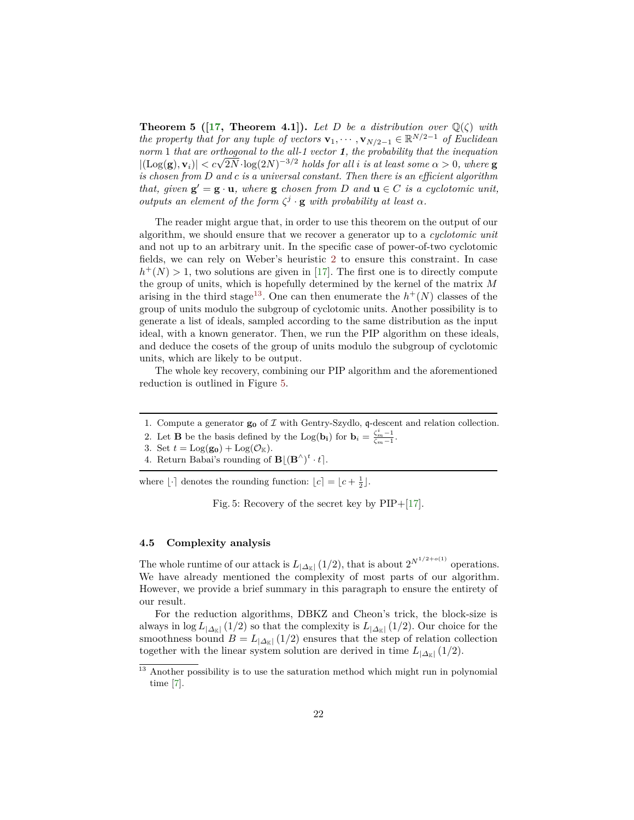**Theorem 5** ([17, **Theorem 4.1]**). Let *D* be a distribution over  $\mathbb{Q}(\zeta)$  with *the property that for any tuple of vectors*  $\mathbf{v}_1, \cdots, \mathbf{v}_{N/2-1} \in \mathbb{R}^{N/2-1}$  *of Euclidean norm* 1 *that are orthogonal to the all-1 vector 1, the probability that the inequation*  $|(\text{Log}(\mathbf{g}), \mathbf{v}_i)| < c\sqrt{2N}\cdot\log(2N)^{-3/2}$  holds for all *i* is at least some  $\alpha > 0$ , where  $\mathbf{g}$ *is chosen from D and c is a universal constant. Then there is an efficient algorithm that, given*  $\mathbf{g}' = \mathbf{g} \cdot \mathbf{u}$ *, where*  $\mathbf{g}$  *chosen from D and*  $\mathbf{u} \in C$  *is a cyclotomic unit, outputs an element of the form*  $\zeta^j \cdot \mathbf{g}$  *with probability at least*  $\alpha$ *.* 

The reader might argue that, in order to use this theorem on the output of our algorithm, we should ensure that we recover a generator up to a *cyclotomic unit* and not up to an arbitrary unit. In the specific case of power-of-two cyclotomic fields, we can rely on Weber's heuristic 2 to ensure this constraint. In case  $h^+(N) > 1$ , two solutions are given in [17]. The first one is to directly compute the group of units, which is hopefully determined by the kernel of the matrix *M* arising in the third stage<sup>13</sup>. One can then enumerate the  $h^+(N)$  classes of the group of units modulo the subgroup of cyclotomic units. Another possibility is to generate a list of ideals, sampled according to the same distribution as the input ideal, with a known generator. Then, we run the PIP algorithm on these ideals, and deduce the cosets of the group of units modulo the subgroup of cyclotomic units, which are likely to be output.

The whole key recovery, combining our PIP algorithm and the aforementioned reduction is outlined in Figure 5.

- 1. Compute a generator  $g_0$  of  $\mathcal I$  with Gentry-Szydlo,  $g$ -descent and relation collection.
- 2. Let **B** be the basis defined by the Log(**bi**) for  $\mathbf{b}_i = \frac{\zeta_m^i 1}{\zeta_m 1}$ .
- 3. Set  $t = \text{Log}(\mathbf{g_0}) + \text{Log}(\mathcal{O}_{\mathbb{K}})$ .
- 4. Return Babai's rounding of  $\mathbf{B} | (\mathbf{B}^{\wedge})^t \cdot t].$

where  $\lfloor \cdot \rfloor$  denotes the rounding function:  $\lfloor c \rfloor = \lfloor c + \frac{1}{2} \rfloor$ .

Fig. 5: Recovery of the secret key by  $\text{PIP}+[17]$ .

#### **4.5 Complexity analysis**

The whole runtime of our attack is  $L_{|\Delta_K|}(1/2)$ , that is about  $2^{N^{1/2+o(1)}}$  operations. We have already mentioned the complexity of most parts of our algorithm. However, we provide a brief summary in this paragraph to ensure the entirety of our result.

For the reduction algorithms, DBKZ and Cheon's trick, the block-size is always in  $\log L_{|\Delta_{\mathbb{K}}|}(1/2)$  so that the complexity is  $L_{|\Delta_{\mathbb{K}}|}(1/2)$ . Our choice for the smoothness bound  $B = L_{|\Delta_K|}(1/2)$  ensures that the step of relation collection together with the linear system solution are derived in time  $L_{|\Delta_{\kappa}|}(1/2)$ .

<sup>&</sup>lt;sup>13</sup> Another possibility is to use the saturation method which might run in polynomial time [7].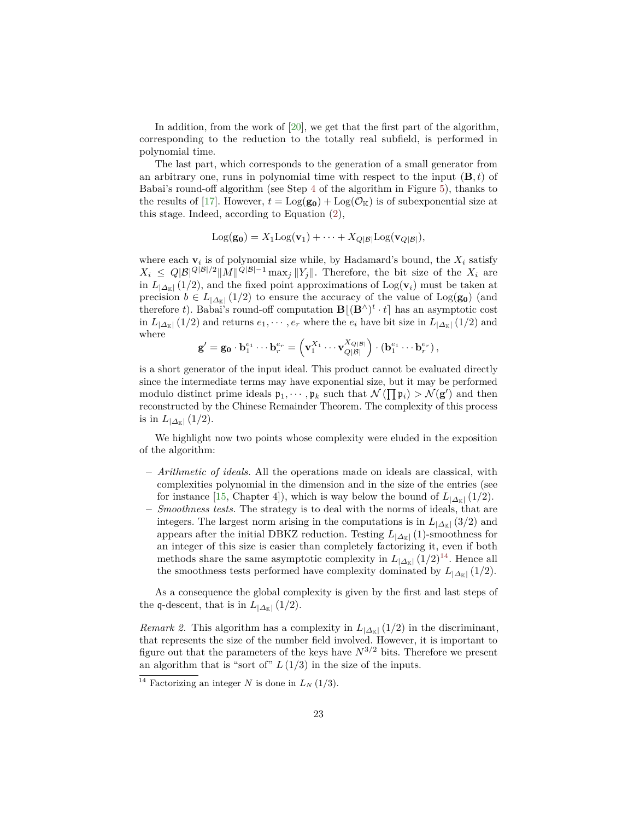In addition, from the work of [20], we get that the first part of the algorithm, corresponding to the reduction to the totally real subfield, is performed in polynomial time.

The last part, which corresponds to the generation of a small generator from an arbitrary one, runs in polynomial time with respect to the input (**B***, t*) of Babai's round-off algorithm (see Step 4 of the algorithm in Figure 5), thanks to the results of [17]. However,  $t = \text{Log}(\mathbf{g}_0) + \text{Log}(\mathcal{O}_{\mathbb{K}})$  is of subexponential size at this stage. Indeed, according to Equation (2),

$$
Log(\mathbf{g_0}) = X_1 Log(\mathbf{v}_1) + \cdots + X_{Q|\mathcal{B}|} Log(\mathbf{v}_{Q|\mathcal{B}|}),
$$

where each  $\mathbf{v}_i$  is of polynomial size while, by Hadamard's bound, the  $X_i$  satisfy  $X_i \leq Q|\mathcal{B}|^{Q|\mathcal{B}|/2}||M||^{Q|\mathcal{B}|-1}$  max<sub>j</sub>  $||Y_j||$ . Therefore, the bit size of the  $X_i$  are in  $L_{|\Delta_K|}(1/2)$ , and the fixed point approximations of  $Log(\mathbf{v}_i)$  must be taken at precision  $b \in L_{|\Delta_{\mathbb{K}}|}(1/2)$  to ensure the accuracy of the value of  $Log(g_0)$  (and therefore *t*). Babai's round-off computation  $\mathbf{B} | (\mathbf{B}^{\wedge})^t \cdot t|$  has an asymptotic cost in  $L_{|\Delta_{\mathbb{K}}|}(1/2)$  and returns  $e_1, \dots, e_r$  where the  $e_i$  have bit size in  $L_{|\Delta_{\mathbb{K}}|}(1/2)$  and where

$$
\mathbf{g}' = \mathbf{g_0} \cdot \mathbf{b}_1^{e_1} \cdots \mathbf{b}_r^{e_r} = \left(\mathbf{v}_1^{X_1} \cdots \mathbf{v}_{Q|\mathcal{B}|}^{X_{Q|\mathcal{B}|}}\right) \cdot \left(\mathbf{b}_1^{e_1} \cdots \mathbf{b}_r^{e_r}\right),
$$

is a short generator of the input ideal. This product cannot be evaluated directly since the intermediate terms may have exponential size, but it may be performed modulo distinct prime ideals  $\mathfrak{p}_1, \dots, \mathfrak{p}_k$  such that  $\mathcal{N}(\prod \mathfrak{p}_i) > \mathcal{N}(\mathbf{g}')$  and then reconstructed by the Chinese Remainder Theorem. The complexity of this process is in  $L_{|\Delta_{\mathbb{K}}|}(1/2)$ .

We highlight now two points whose complexity were eluded in the exposition of the algorithm:

- **–** *Arithmetic of ideals.* All the operations made on ideals are classical, with complexities polynomial in the dimension and in the size of the entries (see for instance [15, Chapter 4]), which is way below the bound of  $L_{|\Delta x|} (1/2)$ .
- **–** *Smoothness tests.* The strategy is to deal with the norms of ideals, that are integers. The largest norm arising in the computations is in  $L_{|\Delta_{\mathbb{K}}|}(3/2)$  and appears after the initial DBKZ reduction. Testing  $L_{|\Delta_K|}(1)$ -smoothness for an integer of this size is easier than completely factorizing it, even if both methods share the same asymptotic complexity in  $L_{|\Delta x|} (1/2)^{14}$ . Hence all the smoothness tests performed have complexity dominated by  $L_{|\Delta_{\mathbb{K}}|}(1/2)$ .

As a consequence the global complexity is given by the first and last steps of the q-descent, that is in  $L_{|\Delta_{\mathbb{K}}|}(1/2)$ .

*Remark 2.* This algorithm has a complexity in  $L_{|\Delta_{\mathbb{K}}|}(1/2)$  in the discriminant, that represents the size of the number field involved. However, it is important to figure out that the parameters of the keys have  $N^{3/2}$  bits. Therefore we present an algorithm that is "sort of"  $L(1/3)$  in the size of the inputs.

 $\frac{14}{14}$  Factorizing an integer *N* is done in  $L_N$  (1/3).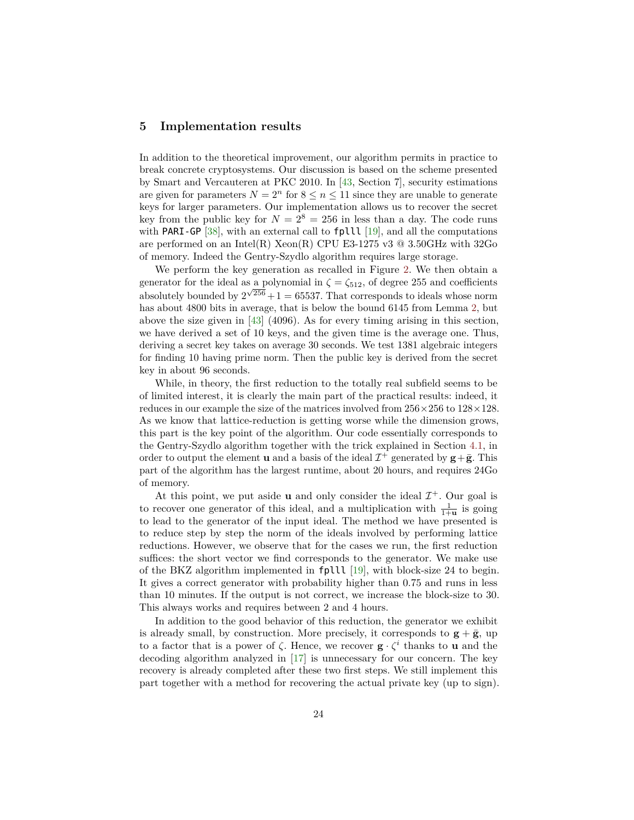### **5 Implementation results**

In addition to the theoretical improvement, our algorithm permits in practice to break concrete cryptosystems. Our discussion is based on the scheme presented by Smart and Vercauteren at PKC 2010. In [43, Section 7], security estimations are given for parameters  $N = 2^n$  for  $8 \leq n \leq 11$  since they are unable to generate keys for larger parameters. Our implementation allows us to recover the secret key from the public key for  $N = 2^8 = 256$  in less than a day. The code runs with **PARI-GP** [38], with an external call to **fplll** [19], and all the computations are performed on an Intel(R) Xeon(R) CPU E3-1275 v3  $@$  3.50GHz with 32Go of memory. Indeed the Gentry-Szydlo algorithm requires large storage.

We perform the key generation as recalled in Figure 2. We then obtain a generator for the ideal as a polynomial in  $\zeta = \zeta_{512}$ , of degree 255 and coefficients absolutely bounded by  $2^{\sqrt{256}} + 1 = 65537$ . That corresponds to ideals whose norm has about 4800 bits in average, that is below the bound 6145 from Lemma 2, but above the size given in [43] (4096). As for every timing arising in this section, we have derived a set of 10 keys, and the given time is the average one. Thus, deriving a secret key takes on average 30 seconds. We test 1381 algebraic integers for finding 10 having prime norm. Then the public key is derived from the secret key in about 96 seconds.

While, in theory, the first reduction to the totally real subfield seems to be of limited interest, it is clearly the main part of the practical results: indeed, it reduces in our example the size of the matrices involved from  $256 \times 256$  to  $128 \times 128$ . As we know that lattice-reduction is getting worse while the dimension grows, this part is the key point of the algorithm. Our code essentially corresponds to the Gentry-Szydlo algorithm together with the trick explained in Section 4.1, in order to output the element **u** and a basis of the ideal  $\mathcal{I}^+$  generated by  $\mathbf{g} + \bar{\mathbf{g}}$ . This part of the algorithm has the largest runtime, about 20 hours, and requires 24Go of memory.

At this point, we put aside **u** and only consider the ideal  $\mathcal{I}^+$ . Our goal is to recover one generator of this ideal, and a multiplication with  $\frac{1}{1+\mathbf{u}}$  is going to lead to the generator of the input ideal. The method we have presented is to reduce step by step the norm of the ideals involved by performing lattice reductions. However, we observe that for the cases we run, the first reduction suffices: the short vector we find corresponds to the generator. We make use of the BKZ algorithm implemented in fplll [19], with block-size 24 to begin. It gives a correct generator with probability higher than 0*.*75 and runs in less than 10 minutes. If the output is not correct, we increase the block-size to 30. This always works and requires between 2 and 4 hours.

In addition to the good behavior of this reduction, the generator we exhibit is already small, by construction. More precisely, it corresponds to  $g + \bar{g}$ , up to a factor that is a power of *ζ*. Hence, we recover **g** · *ζ i* thanks to **u** and the decoding algorithm analyzed in [17] is unnecessary for our concern. The key recovery is already completed after these two first steps. We still implement this part together with a method for recovering the actual private key (up to sign).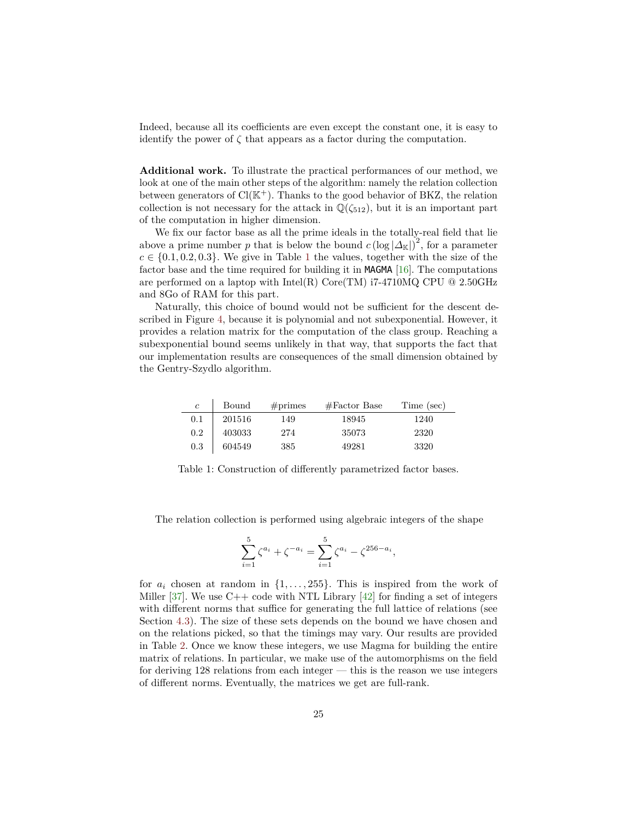Indeed, because all its coefficients are even except the constant one, it is easy to identify the power of  $\zeta$  that appears as a factor during the computation.

**Additional work.** To illustrate the practical performances of our method, we look at one of the main other steps of the algorithm: namely the relation collection between generators of  $Cl(\mathbb{K}^+)$ . Thanks to the good behavior of BKZ, the relation collection is not necessary for the attack in  $\mathbb{Q}(\zeta_{512})$ , but it is an important part of the computation in higher dimension.

We fix our factor base as all the prime ideals in the totally-real field that lie above a prime number *p* that is below the bound  $c(\log |\Delta_{\mathbb{K}}|)^2$ , for a parameter  $c \in \{0.1, 0.2, 0.3\}$ . We give in Table 1 the values, together with the size of the factor base and the time required for building it in MAGMA [16]. The computations are performed on a laptop with Intel(R) Core(TM)  $i7-4710MQ$  CPU @ 2.50GHz and 8Go of RAM for this part.

Naturally, this choice of bound would not be sufficient for the descent described in Figure 4, because it is polynomial and not subexponential. However, it provides a relation matrix for the computation of the class group. Reaching a subexponential bound seems unlikely in that way, that supports the fact that our implementation results are consequences of the small dimension obtained by the Gentry-Szydlo algorithm.

| $\mathfrak{c}$ | Bound  | #primes | $#Factor$ Base | Time (sec) |
|----------------|--------|---------|----------------|------------|
| 0.1            | 201516 | 149     | 18945          | 1240       |
| 0.2            | 403033 | 274     | 35073          | 2320       |
| 0.3            | 604549 | 385     | 49281          | 3320       |

Table 1: Construction of differently parametrized factor bases.

The relation collection is performed using algebraic integers of the shape

$$
\sum_{i=1}^{5} \zeta^{a_i} + \zeta^{-a_i} = \sum_{i=1}^{5} \zeta^{a_i} - \zeta^{256 - a_i},
$$

for  $a_i$  chosen at random in  $\{1, \ldots, 255\}$ . This is inspired from the work of Miller [37]. We use  $C++$  code with NTL Library [42] for finding a set of integers with different norms that suffice for generating the full lattice of relations (see Section 4.3). The size of these sets depends on the bound we have chosen and on the relations picked, so that the timings may vary. Our results are provided in Table 2. Once we know these integers, we use Magma for building the entire matrix of relations. In particular, we make use of the automorphisms on the field for deriving 128 relations from each integer — this is the reason we use integers of different norms. Eventually, the matrices we get are full-rank.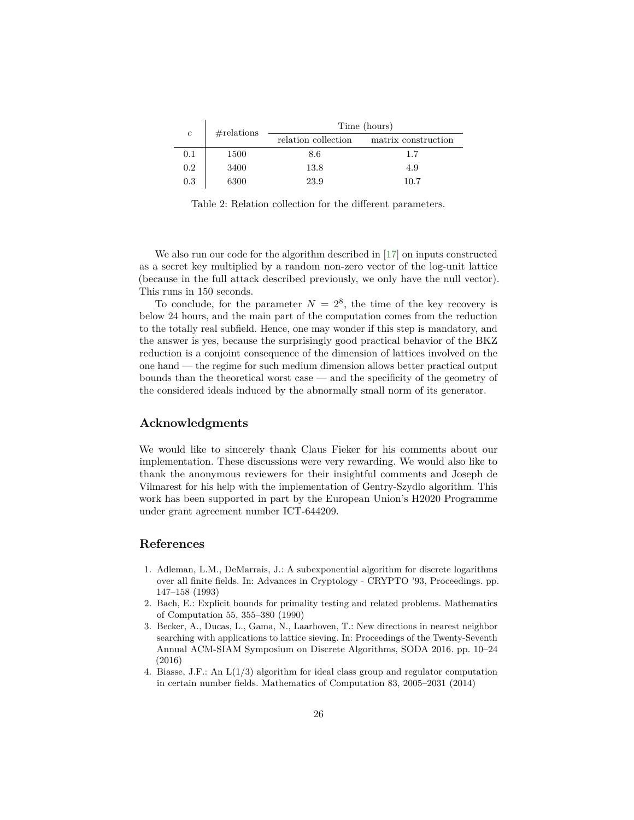| $\mathfrak{c}$ | #relations | Time (hours)        |                     |  |
|----------------|------------|---------------------|---------------------|--|
|                |            | relation collection | matrix construction |  |
| 0.1            | 1500       | 8.6                 | 1.7                 |  |
| 0.2            | 3400       | 13.8                | 4.9                 |  |
| 0.3            | 6300       | 23.9                | 10.7                |  |

Table 2: Relation collection for the different parameters.

We also run our code for the algorithm described in [17] on inputs constructed as a secret key multiplied by a random non-zero vector of the log-unit lattice (because in the full attack described previously, we only have the null vector). This runs in 150 seconds.

To conclude, for the parameter  $N = 2^8$ , the time of the key recovery is below 24 hours, and the main part of the computation comes from the reduction to the totally real subfield. Hence, one may wonder if this step is mandatory, and the answer is yes, because the surprisingly good practical behavior of the BKZ reduction is a conjoint consequence of the dimension of lattices involved on the one hand — the regime for such medium dimension allows better practical output bounds than the theoretical worst case — and the specificity of the geometry of the considered ideals induced by the abnormally small norm of its generator.

## **Acknowledgments**

We would like to sincerely thank Claus Fieker for his comments about our implementation. These discussions were very rewarding. We would also like to thank the anonymous reviewers for their insightful comments and Joseph de Vilmarest for his help with the implementation of Gentry-Szydlo algorithm. This work has been supported in part by the European Union's H2020 Programme under grant agreement number ICT-644209.

## **References**

- 1. Adleman, L.M., DeMarrais, J.: A subexponential algorithm for discrete logarithms over all finite fields. In: Advances in Cryptology - CRYPTO '93, Proceedings. pp. 147–158 (1993)
- 2. Bach, E.: Explicit bounds for primality testing and related problems. Mathematics of Computation 55, 355–380 (1990)
- 3. Becker, A., Ducas, L., Gama, N., Laarhoven, T.: New directions in nearest neighbor searching with applications to lattice sieving. In: Proceedings of the Twenty-Seventh Annual ACM-SIAM Symposium on Discrete Algorithms, SODA 2016. pp. 10–24 (2016)
- 4. Biasse, J.F.: An L(1/3) algorithm for ideal class group and regulator computation in certain number fields. Mathematics of Computation 83, 2005–2031 (2014)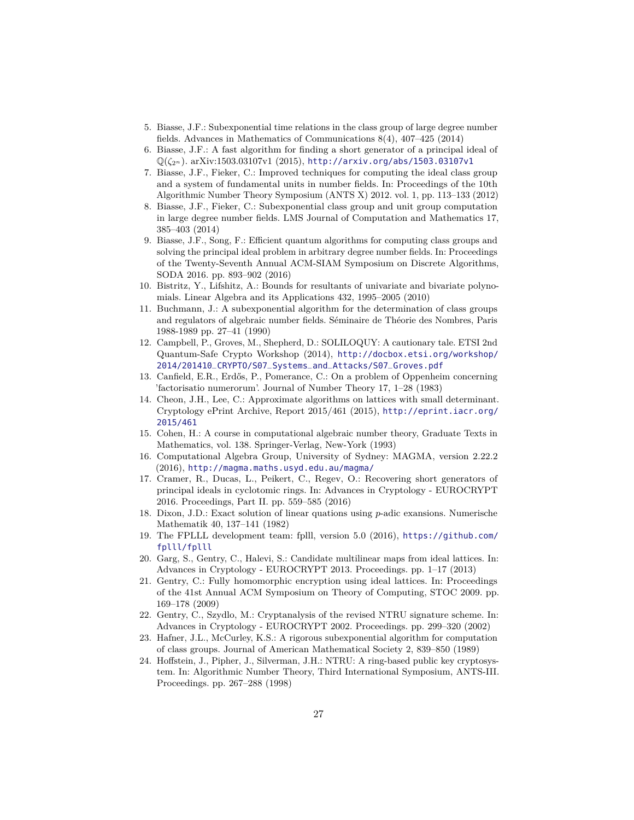- 5. Biasse, J.F.: Subexponential time relations in the class group of large degree number fields. Advances in Mathematics of Communications 8(4), 407–425 (2014)
- 6. Biasse, J.F.: A fast algorithm for finding a short generator of a principal ideal of Q(*ζ*2*<sup>n</sup>* ). arXiv:1503.03107v1 (2015), <http://arxiv.org/abs/1503.03107v1>
- 7. Biasse, J.F., Fieker, C.: Improved techniques for computing the ideal class group and a system of fundamental units in number fields. In: Proceedings of the 10th Algorithmic Number Theory Symposium (ANTS X) 2012. vol. 1, pp. 113–133 (2012)
- 8. Biasse, J.F., Fieker, C.: Subexponential class group and unit group computation in large degree number fields. LMS Journal of Computation and Mathematics 17, 385–403 (2014)
- 9. Biasse, J.F., Song, F.: Efficient quantum algorithms for computing class groups and solving the principal ideal problem in arbitrary degree number fields. In: Proceedings of the Twenty-Seventh Annual ACM-SIAM Symposium on Discrete Algorithms, SODA 2016. pp. 893–902 (2016)
- 10. Bistritz, Y., Lifshitz, A.: Bounds for resultants of univariate and bivariate polynomials. Linear Algebra and its Applications 432, 1995–2005 (2010)
- 11. Buchmann, J.: A subexponential algorithm for the determination of class groups and regulators of algebraic number fields. Séminaire de Théorie des Nombres, Paris 1988-1989 pp. 27–41 (1990)
- 12. Campbell, P., Groves, M., Shepherd, D.: SOLILOQUY: A cautionary tale. ETSI 2nd Quantum-Safe Crypto Workshop (2014), [http://docbox.etsi.org/workshop/](http://docbox.etsi.org/workshop/2014/201410_CRYPTO/S07_Systems_and_Attacks/S07_Groves.pdf) [2014/201410\\_CRYPTO/S07\\_Systems\\_and\\_Attacks/S07\\_Groves.pdf](http://docbox.etsi.org/workshop/2014/201410_CRYPTO/S07_Systems_and_Attacks/S07_Groves.pdf)
- 13. Canfield, E.R., Erdős, P., Pomerance, C.: On a problem of Oppenheim concerning 'factorisatio numerorum'. Journal of Number Theory 17, 1–28 (1983)
- 14. Cheon, J.H., Lee, C.: Approximate algorithms on lattices with small determinant. Cryptology ePrint Archive, Report 2015/461 (2015), [http://eprint.iacr.org/](http://eprint.iacr.org/2015/461) [2015/461](http://eprint.iacr.org/2015/461)
- 15. Cohen, H.: A course in computational algebraic number theory, Graduate Texts in Mathematics, vol. 138. Springer-Verlag, New-York (1993)
- 16. Computational Algebra Group, University of Sydney: MAGMA, version 2.22.2 (2016), <http://magma.maths.usyd.edu.au/magma/>
- 17. Cramer, R., Ducas, L., Peikert, C., Regev, O.: Recovering short generators of principal ideals in cyclotomic rings. In: Advances in Cryptology - EUROCRYPT 2016. Proceedings, Part II. pp. 559–585 (2016)
- 18. Dixon, J.D.: Exact solution of linear quations using *p*-adic exansions. Numerische Mathematik 40, 137–141 (1982)
- 19. The FPLLL development team: fplll, version 5.0 (2016), [https://github.com/](https://github.com/fplll/fplll) [fplll/fplll](https://github.com/fplll/fplll)
- 20. Garg, S., Gentry, C., Halevi, S.: Candidate multilinear maps from ideal lattices. In: Advances in Cryptology - EUROCRYPT 2013. Proceedings. pp. 1–17 (2013)
- 21. Gentry, C.: Fully homomorphic encryption using ideal lattices. In: Proceedings of the 41st Annual ACM Symposium on Theory of Computing, STOC 2009. pp. 169–178 (2009)
- 22. Gentry, C., Szydlo, M.: Cryptanalysis of the revised NTRU signature scheme. In: Advances in Cryptology - EUROCRYPT 2002. Proceedings. pp. 299–320 (2002)
- 23. Hafner, J.L., McCurley, K.S.: A rigorous subexponential algorithm for computation of class groups. Journal of American Mathematical Society 2, 839–850 (1989)
- 24. Hoffstein, J., Pipher, J., Silverman, J.H.: NTRU: A ring-based public key cryptosystem. In: Algorithmic Number Theory, Third International Symposium, ANTS-III. Proceedings. pp. 267–288 (1998)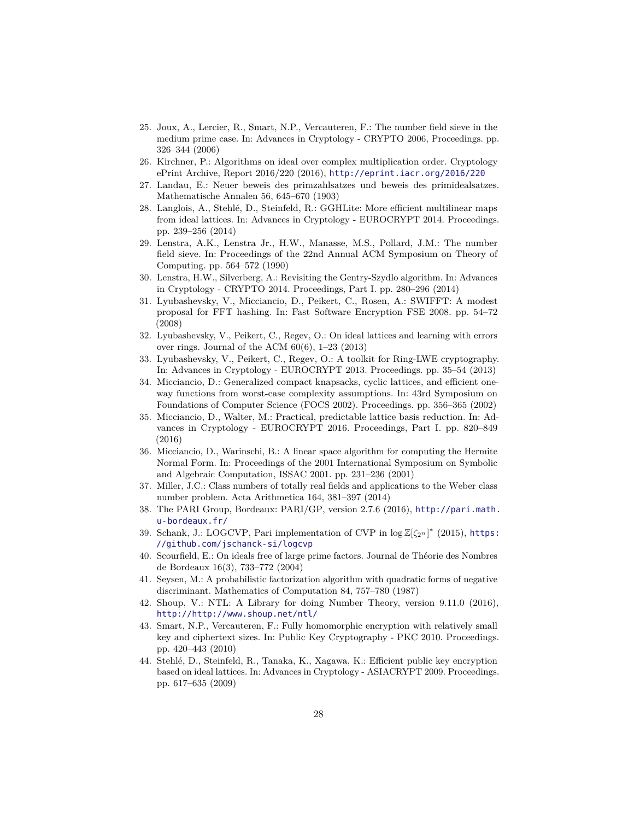- 25. Joux, A., Lercier, R., Smart, N.P., Vercauteren, F.: The number field sieve in the medium prime case. In: Advances in Cryptology - CRYPTO 2006, Proceedings. pp. 326–344 (2006)
- 26. Kirchner, P.: Algorithms on ideal over complex multiplication order. Cryptology ePrint Archive, Report 2016/220 (2016), <http://eprint.iacr.org/2016/220>
- 27. Landau, E.: Neuer beweis des primzahlsatzes und beweis des primidealsatzes. Mathematische Annalen 56, 645–670 (1903)
- 28. Langlois, A., Stehlé, D., Steinfeld, R.: GGHLite: More efficient multilinear maps from ideal lattices. In: Advances in Cryptology - EUROCRYPT 2014. Proceedings. pp. 239–256 (2014)
- 29. Lenstra, A.K., Lenstra Jr., H.W., Manasse, M.S., Pollard, J.M.: The number field sieve. In: Proceedings of the 22nd Annual ACM Symposium on Theory of Computing. pp. 564–572 (1990)
- 30. Lenstra, H.W., Silverberg, A.: Revisiting the Gentry-Szydlo algorithm. In: Advances in Cryptology - CRYPTO 2014. Proceedings, Part I. pp. 280–296 (2014)
- 31. Lyubashevsky, V., Micciancio, D., Peikert, C., Rosen, A.: SWIFFT: A modest proposal for FFT hashing. In: Fast Software Encryption FSE 2008. pp. 54–72 (2008)
- 32. Lyubashevsky, V., Peikert, C., Regev, O.: On ideal lattices and learning with errors over rings. Journal of the ACM  $60(6)$ , 1–23 (2013)
- 33. Lyubashevsky, V., Peikert, C., Regev, O.: A toolkit for Ring-LWE cryptography. In: Advances in Cryptology - EUROCRYPT 2013. Proceedings. pp. 35–54 (2013)
- 34. Micciancio, D.: Generalized compact knapsacks, cyclic lattices, and efficient oneway functions from worst-case complexity assumptions. In: 43rd Symposium on Foundations of Computer Science (FOCS 2002). Proceedings. pp. 356–365 (2002)
- 35. Micciancio, D., Walter, M.: Practical, predictable lattice basis reduction. In: Advances in Cryptology - EUROCRYPT 2016. Proceedings, Part I. pp. 820–849 (2016)
- 36. Micciancio, D., Warinschi, B.: A linear space algorithm for computing the Hermite Normal Form. In: Proceedings of the 2001 International Symposium on Symbolic and Algebraic Computation, ISSAC 2001. pp. 231–236 (2001)
- 37. Miller, J.C.: Class numbers of totally real fields and applications to the Weber class number problem. Acta Arithmetica 164, 381–397 (2014)
- 38. The PARI Group, Bordeaux: PARI/GP, version 2.7.6 (2016), [http://pari.math.](http://pari.math.u-bordeaux.fr/) [u-bordeaux.fr/](http://pari.math.u-bordeaux.fr/)
- 39. Schank, J.: LOGCVP, Pari implementation of CVP in log Z[ $\zeta_{2^n}$ ]<sup>\*</sup> (2015), [https:](https://github.com/jschanck-si/logcvp) [//github.com/jschanck-si/logcvp](https://github.com/jschanck-si/logcvp)
- 40. Scourfield, E.: On ideals free of large prime factors. Journal de Théorie des Nombres de Bordeaux 16(3), 733–772 (2004)
- 41. Seysen, M.: A probabilistic factorization algorithm with quadratic forms of negative discriminant. Mathematics of Computation 84, 757–780 (1987)
- 42. Shoup, V.: NTL: A Library for doing Number Theory, version 9.11.0 (2016), <http://http://www.shoup.net/ntl/>
- 43. Smart, N.P., Vercauteren, F.: Fully homomorphic encryption with relatively small key and ciphertext sizes. In: Public Key Cryptography - PKC 2010. Proceedings. pp. 420–443 (2010)
- 44. Stehlé, D., Steinfeld, R., Tanaka, K., Xagawa, K.: Efficient public key encryption based on ideal lattices. In: Advances in Cryptology - ASIACRYPT 2009. Proceedings. pp. 617–635 (2009)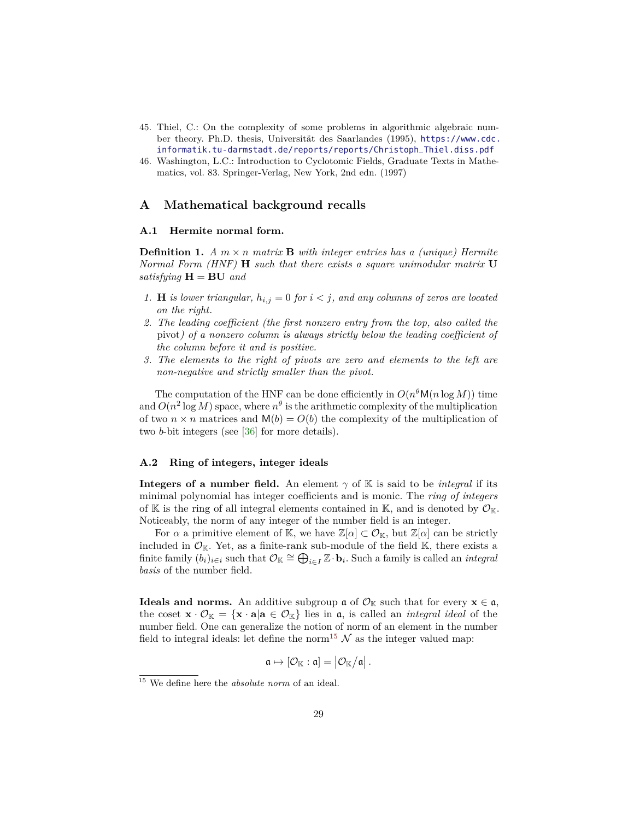- 45. Thiel, C.: On the complexity of some problems in algorithmic algebraic number theory. Ph.D. thesis, Universität des Saarlandes (1995), [https://www.cdc.](https://www.cdc.informatik.tu-darmstadt.de/reports/reports/Christoph_Thiel.diss.pdf) [informatik.tu-darmstadt.de/reports/reports/Christoph\\_Thiel.diss.pdf](https://www.cdc.informatik.tu-darmstadt.de/reports/reports/Christoph_Thiel.diss.pdf)
- 46. Washington, L.C.: Introduction to Cyclotomic Fields, Graduate Texts in Mathematics, vol. 83. Springer-Verlag, New York, 2nd edn. (1997)

### **A Mathematical background recalls**

#### **A.1 Hermite normal form.**

**Definition 1.**  $A \, m \times n$  *matrix* **B** *with integer entries has a (unique) Hermite Normal Form (HNF)* **H** *such that there exists a square unimodular matrix* **U** *satisfying* **H** = **BU** *and*

- *1.* **H** *is lower triangular,*  $h_{i,j} = 0$  *for*  $i < j$ *, and any columns of zeros are located on the right.*
- *2. The leading coefficient (the first nonzero entry from the top, also called the* pivot*) of a nonzero column is always strictly below the leading coefficient of the column before it and is positive.*
- *3. The elements to the right of pivots are zero and elements to the left are non-negative and strictly smaller than the pivot.*

The computation of the HNF can be done efficiently in  $O(n^{\theta} \mathsf{M}(n \log M))$  time and  $O(n^2 \log M)$  space, where  $n^{\theta}$  is the arithmetic complexity of the multiplication of two  $n \times n$  matrices and  $M(b) = O(b)$  the complexity of the multiplication of two *b*-bit integers (see [36] for more details).

#### **A.2 Ring of integers, integer ideals**

**Integers of a number field.** An element  $\gamma$  of K is said to be *integral* if its minimal polynomial has integer coefficients and is monic. The *ring of integers* of K is the ring of all integral elements contained in K, and is denoted by  $\mathcal{O}_{K}$ . Noticeably, the norm of any integer of the number field is an integer.

For  $\alpha$  a primitive element of K, we have  $\mathbb{Z}[\alpha] \subset \mathcal{O}_{\mathbb{K}}$ , but  $\mathbb{Z}[\alpha]$  can be strictly included in  $\mathcal{O}_{\mathbb{K}}.$  Yet, as a finite-rank sub-module of the field  $\mathbb{K},$  there exists a finite family  $(b_i)_{i \in i}$  such that  $\mathcal{O}_{\mathbb{K}} \cong \bigoplus_{i \in I} \mathbb{Z} \cdot \mathbf{b}_i$ . Such a family is called an *integral basis* of the number field.

**Ideals and norms.** An additive subgroup  $\mathfrak{a}$  of  $\mathcal{O}_{\mathbb{K}}$  such that for every  $\mathbf{x} \in \mathfrak{a}$ , the coset  $\mathbf{x} \cdot \mathcal{O}_{\mathbb{K}} = {\mathbf{x} \cdot \mathbf{a} | \mathbf{a} \in \mathcal{O}_{\mathbb{K}}}$  lies in  $\mathfrak{a}$ , is called an *integral ideal* of the number field. One can generalize the notion of norm of an element in the number field to integral ideals: let define the norm<sup>15</sup>  $\mathcal N$  as the integer valued map:

$$
\mathfrak{a} \mapsto \left[ \mathcal{O}_{\mathbb{K}} : \mathfrak{a} \right] = \left| \mathcal{O}_{\mathbb{K}} \big/ \mathfrak{a} \right|.
$$

 $\overline{^{15}$  We define here the *absolute norm* of an ideal.